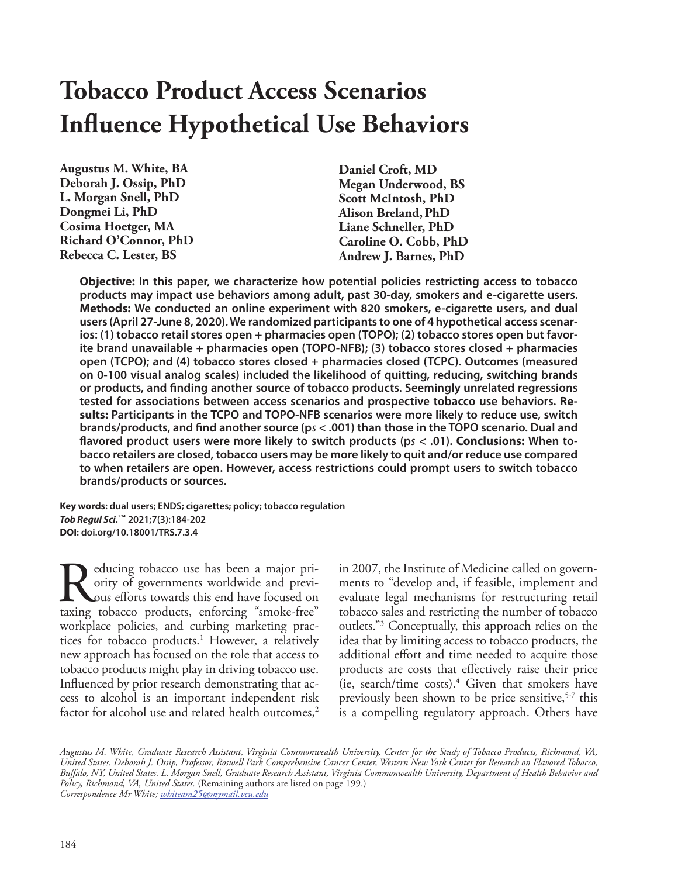# **Tobacco Product Access Scenarios Influence Hypothetical Use Behaviors**

**Augustus M. White, BA Deborah J. Ossip, PhD L. Morgan Snell, PhD Dongmei Li, PhD Cosima Hoetger, MA Richard O'Connor, PhD Rebecca C. Lester, BS**

**Daniel Croft, MD Megan Underwood, BS Scott McIntosh, PhD Alison Breland,PhD Liane Schneller, PhD Caroline O. Cobb, PhD Andrew J. Barnes, PhD**

**Objective: In this paper, we characterize how potential policies restricting access to tobacco products may impact use behaviors among adult, past 30-day, smokers and e-cigarette users. Methods: We conducted an online experiment with 820 smokers, e-cigarette users, and dual users (April 27-June 8, 2020). We randomized participants to one of 4 hypothetical access scenarios: (1) tobacco retail stores open + pharmacies open (TOPO); (2) tobacco stores open but favorite brand unavailable + pharmacies open (TOPO-NFB); (3) tobacco stores closed + pharmacies open (TCPO); and (4) tobacco stores closed + pharmacies closed (TCPC). Outcomes (measured on 0-100 visual analog scales) included the likelihood of quitting, reducing, switching brands or products, and finding another source of tobacco products. Seemingly unrelated regressions tested for associations between access scenarios and prospective tobacco use behaviors. Results: Participants in the TCPO and TOPO-NFB scenarios were more likely to reduce use, switch brands/products, and find another source (p***s* **< .001) than those in the TOPO scenario. Dual and flavored product users were more likely to switch products (p***s* **< .01). Conclusions: When tobacco retailers are closed, tobacco users may be more likely to quit and/or reduce use compared to when retailers are open. However, access restrictions could prompt users to switch tobacco brands/products or sources.**

**Key words: dual users; ENDS; cigarettes; policy; tobacco regulation** *Tob Regul Sci.***™ 2021;7(3):184-202 DOI: doi.org/10.18001/TRS.7.3.4**

Reducing tobacco use has been a major priority of governments worldwide and previous efforts towards this end have focused on taxing tobacco products, enforcing "smoke-free" ority of governments worldwide and previous efforts towards this end have focused on taxing tobacco products, enforcing "smoke-free" workplace policies, and curbing marketing practices for tobacco products.<sup>1</sup> However, a relatively new approach has focused on the role that access to tobacco products might play in driving tobacco use. Influenced by prior research demonstrating that access to alcohol is an important independent risk factor for alcohol use and related health outcomes,<sup>2</sup>

in 2007, the Institute of Medicine called on governments to "develop and, if feasible, implement and evaluate legal mechanisms for restructuring retail tobacco sales and restricting the number of tobacco outlets."3 Conceptually, this approach relies on the idea that by limiting access to tobacco products, the additional effort and time needed to acquire those products are costs that effectively raise their price (ie, search/time costs).4 Given that smokers have previously been shown to be price sensitive,<sup>5-7</sup> this is a compelling regulatory approach. Others have

*Augustus M. White, Graduate Research Assistant, Virginia Commonwealth University, Center for the Study of Tobacco Products, Richmond, VA, United States. Deborah J. Ossip, Professor, Roswell Park Comprehensive Cancer Center, Western New York Center for Research on Flavored Tobacco, Buffalo, NY, United States. L. Morgan Snell, Graduate Research Assistant, Virginia Commonwealth University, Department of Health Behavior and Policy, Richmond, VA, United States.* (Remaining authors are listed on page 199.) *Correspondence Mr White; whiteam25@mymail.vcu.edu*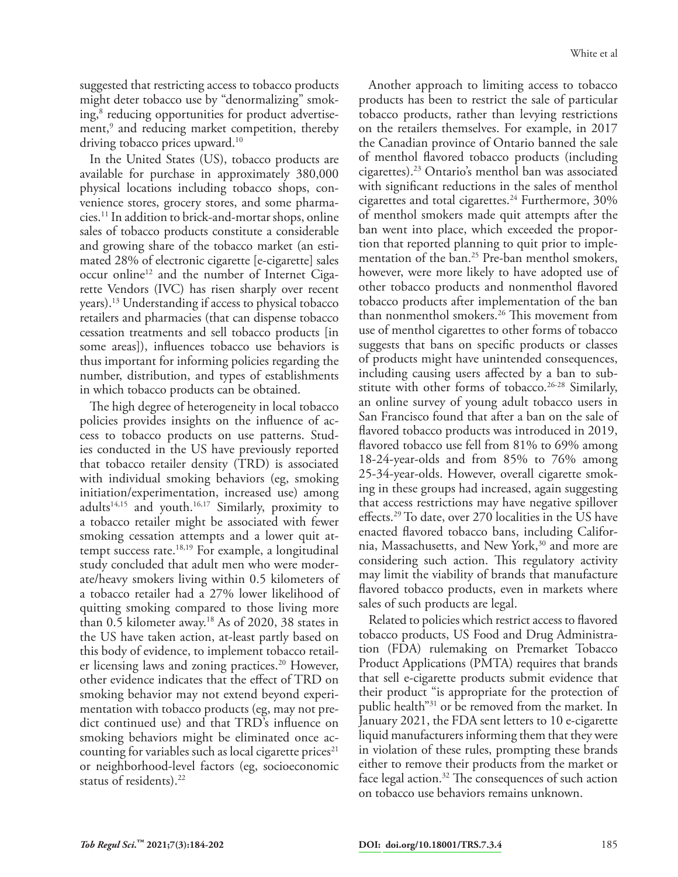suggested that restricting access to tobacco products might deter tobacco use by "denormalizing" smoking,<sup>8</sup> reducing opportunities for product advertisement,<sup>9</sup> and reducing market competition, thereby driving tobacco prices upward.<sup>10</sup>

In the United States (US), tobacco products are available for purchase in approximately 380,000 physical locations including tobacco shops, convenience stores, grocery stores, and some pharmacies.11 In addition to brick-and-mortar shops, online sales of tobacco products constitute a considerable and growing share of the tobacco market (an estimated 28% of electronic cigarette [e-cigarette] sales occur online<sup>12</sup> and the number of Internet Cigarette Vendors (IVC) has risen sharply over recent years).13 Understanding if access to physical tobacco retailers and pharmacies (that can dispense tobacco cessation treatments and sell tobacco products [in some areas]), influences tobacco use behaviors is thus important for informing policies regarding the number, distribution, and types of establishments in which tobacco products can be obtained.

The high degree of heterogeneity in local tobacco policies provides insights on the influence of access to tobacco products on use patterns. Studies conducted in the US have previously reported that tobacco retailer density (TRD) is associated with individual smoking behaviors (eg, smoking initiation/experimentation, increased use) among adults14,15 and youth.16,17 Similarly, proximity to a tobacco retailer might be associated with fewer smoking cessation attempts and a lower quit attempt success rate.18,19 For example, a longitudinal study concluded that adult men who were moderate/heavy smokers living within 0.5 kilometers of a tobacco retailer had a 27% lower likelihood of quitting smoking compared to those living more than 0.5 kilometer away.<sup>18</sup> As of 2020, 38 states in the US have taken action, at-least partly based on this body of evidence, to implement tobacco retailer licensing laws and zoning practices.<sup>20</sup> However, other evidence indicates that the effect of TRD on smoking behavior may not extend beyond experimentation with tobacco products (eg, may not predict continued use) and that TRD's influence on smoking behaviors might be eliminated once accounting for variables such as local cigarette prices $21$ or neighborhood-level factors (eg, socioeconomic status of residents).<sup>22</sup>

Another approach to limiting access to tobacco products has been to restrict the sale of particular tobacco products, rather than levying restrictions on the retailers themselves. For example, in 2017 the Canadian province of Ontario banned the sale of menthol flavored tobacco products (including cigarettes).23 Ontario's menthol ban was associated with significant reductions in the sales of menthol cigarettes and total cigarettes.<sup>24</sup> Furthermore,  $30\%$ of menthol smokers made quit attempts after the ban went into place, which exceeded the proportion that reported planning to quit prior to implementation of the ban.<sup>25</sup> Pre-ban menthol smokers, however, were more likely to have adopted use of other tobacco products and nonmenthol flavored tobacco products after implementation of the ban than nonmenthol smokers.26 This movement from use of menthol cigarettes to other forms of tobacco suggests that bans on specific products or classes of products might have unintended consequences, including causing users affected by a ban to substitute with other forms of tobacco.<sup>26-28</sup> Similarly, an online survey of young adult tobacco users in San Francisco found that after a ban on the sale of flavored tobacco products was introduced in 2019, flavored tobacco use fell from 81% to 69% among 18-24-year-olds and from 85% to 76% among 25-34-year-olds. However, overall cigarette smoking in these groups had increased, again suggesting that access restrictions may have negative spillover effects.29 To date, over 270 localities in the US have enacted flavored tobacco bans, including California, Massachusetts, and New York,<sup>30</sup> and more are considering such action. This regulatory activity may limit the viability of brands that manufacture flavored tobacco products, even in markets where sales of such products are legal.

Related to policies which restrict access to flavored tobacco products, US Food and Drug Administration (FDA) rulemaking on Premarket Tobacco Product Applications (PMTA) requires that brands that sell e-cigarette products submit evidence that their product "is appropriate for the protection of public health"31 or be removed from the market. In January 2021, the FDA sent letters to 10 e-cigarette liquid manufacturers informing them that they were in violation of these rules, prompting these brands either to remove their products from the market or face legal action. $32$  The consequences of such action on tobacco use behaviors remains unknown.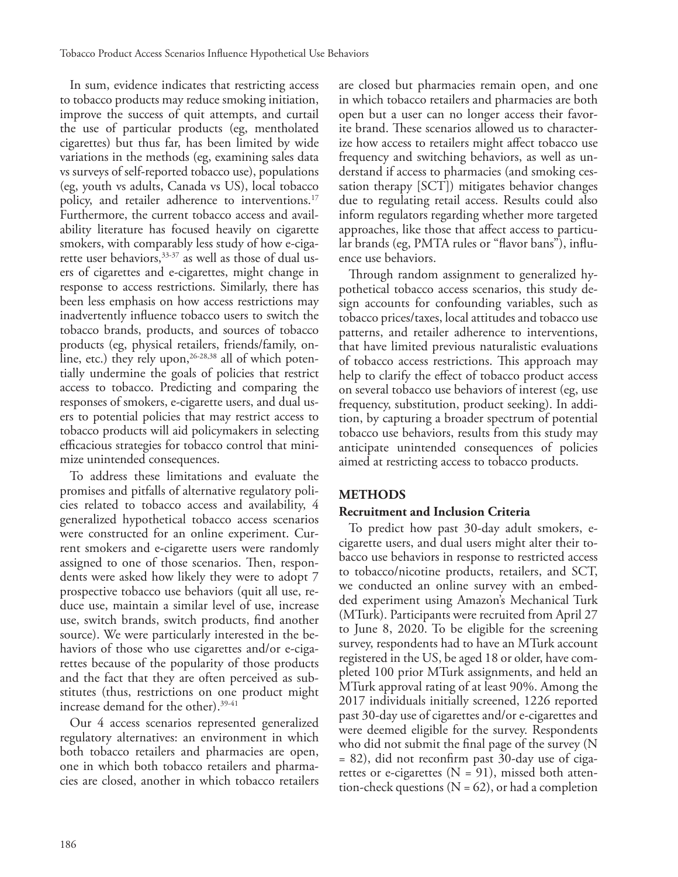In sum, evidence indicates that restricting access to tobacco products may reduce smoking initiation, improve the success of quit attempts, and curtail the use of particular products (eg, mentholated cigarettes) but thus far, has been limited by wide variations in the methods (eg, examining sales data vs surveys of self-reported tobacco use), populations (eg, youth vs adults, Canada vs US), local tobacco policy, and retailer adherence to interventions.<sup>17</sup> Furthermore, the current tobacco access and availability literature has focused heavily on cigarette smokers, with comparably less study of how e-cigarette user behaviors,<sup>33-37</sup> as well as those of dual users of cigarettes and e-cigarettes, might change in response to access restrictions. Similarly, there has been less emphasis on how access restrictions may inadvertently influence tobacco users to switch the tobacco brands, products, and sources of tobacco products (eg, physical retailers, friends/family, online, etc.) they rely upon,  $26-28,38$  all of which potentially undermine the goals of policies that restrict access to tobacco. Predicting and comparing the responses of smokers, e-cigarette users, and dual users to potential policies that may restrict access to tobacco products will aid policymakers in selecting efficacious strategies for tobacco control that minimize unintended consequences.

To address these limitations and evaluate the promises and pitfalls of alternative regulatory policies related to tobacco access and availability, 4 generalized hypothetical tobacco access scenarios were constructed for an online experiment. Current smokers and e-cigarette users were randomly assigned to one of those scenarios. Then, respondents were asked how likely they were to adopt 7 prospective tobacco use behaviors (quit all use, reduce use, maintain a similar level of use, increase use, switch brands, switch products, find another source). We were particularly interested in the behaviors of those who use cigarettes and/or e-cigarettes because of the popularity of those products and the fact that they are often perceived as substitutes (thus, restrictions on one product might increase demand for the other).39-41

Our 4 access scenarios represented generalized regulatory alternatives: an environment in which both tobacco retailers and pharmacies are open, one in which both tobacco retailers and pharmacies are closed, another in which tobacco retailers

are closed but pharmacies remain open, and one in which tobacco retailers and pharmacies are both open but a user can no longer access their favorite brand. These scenarios allowed us to characterize how access to retailers might affect tobacco use frequency and switching behaviors, as well as understand if access to pharmacies (and smoking cessation therapy [SCT]) mitigates behavior changes due to regulating retail access. Results could also inform regulators regarding whether more targeted approaches, like those that affect access to particular brands (eg, PMTA rules or "flavor bans"), influence use behaviors.

Through random assignment to generalized hypothetical tobacco access scenarios, this study design accounts for confounding variables, such as tobacco prices/taxes, local attitudes and tobacco use patterns, and retailer adherence to interventions, that have limited previous naturalistic evaluations of tobacco access restrictions. This approach may help to clarify the effect of tobacco product access on several tobacco use behaviors of interest (eg, use frequency, substitution, product seeking). In addition, by capturing a broader spectrum of potential tobacco use behaviors, results from this study may anticipate unintended consequences of policies aimed at restricting access to tobacco products.

# **METHODS**

# **Recruitment and Inclusion Criteria**

To predict how past 30-day adult smokers, ecigarette users, and dual users might alter their tobacco use behaviors in response to restricted access to tobacco/nicotine products, retailers, and SCT, we conducted an online survey with an embedded experiment using Amazon's Mechanical Turk (MTurk). Participants were recruited from April 27 to June 8, 2020. To be eligible for the screening survey, respondents had to have an MTurk account registered in the US, be aged 18 or older, have completed 100 prior MTurk assignments, and held an MTurk approval rating of at least 90%. Among the 2017 individuals initially screened, 1226 reported past 30-day use of cigarettes and/or e-cigarettes and were deemed eligible for the survey. Respondents who did not submit the final page of the survey (N = 82), did not reconfirm past 30-day use of cigarettes or e-cigarettes  $(N = 91)$ , missed both attention-check questions ( $N = 62$ ), or had a completion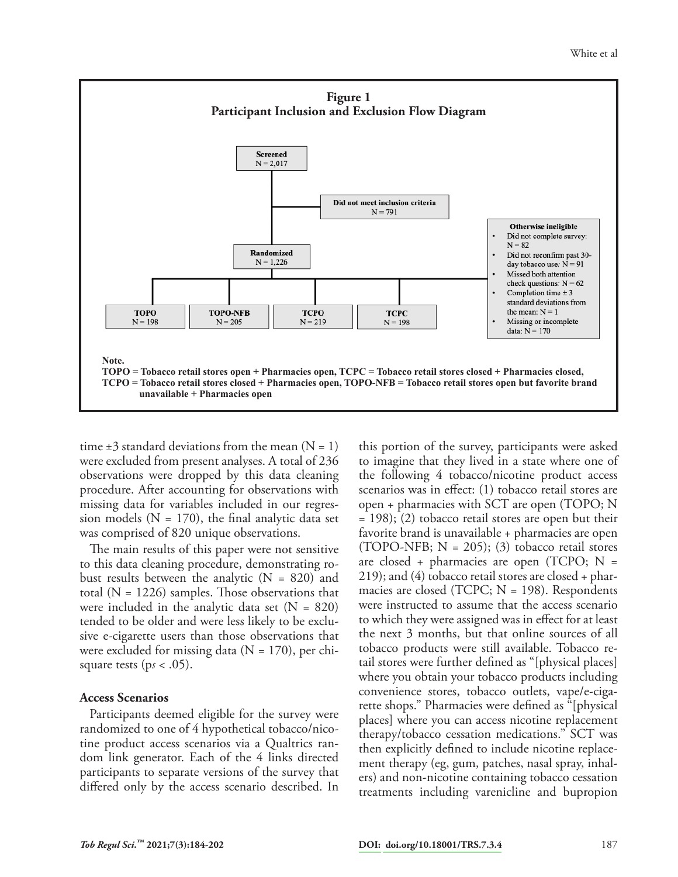

time  $\pm 3$  standard deviations from the mean  $(N = 1)$ were excluded from present analyses. A total of 236 observations were dropped by this data cleaning procedure. After accounting for observations with missing data for variables included in our regression models ( $N = 170$ ), the final analytic data set was comprised of 820 unique observations.

The main results of this paper were not sensitive to this data cleaning procedure, demonstrating robust results between the analytic  $(N = 820)$  and total  $(N = 1226)$  samples. Those observations that were included in the analytic data set  $(N = 820)$ tended to be older and were less likely to be exclusive e-cigarette users than those observations that were excluded for missing data  $(N = 170)$ , per chisquare tests ( $ps < .05$ ).

#### **Access Scenarios**

Participants deemed eligible for the survey were randomized to one of 4 hypothetical tobacco/nicotine product access scenarios via a Qualtrics random link generator. Each of the 4 links directed participants to separate versions of the survey that differed only by the access scenario described. In

this portion of the survey, participants were asked to imagine that they lived in a state where one of the following 4 tobacco/nicotine product access scenarios was in effect: (1) tobacco retail stores are open + pharmacies with SCT are open (TOPO; N = 198); (2) tobacco retail stores are open but their favorite brand is unavailable + pharmacies are open (TOPO-NFB;  $N = 205$ ); (3) tobacco retail stores are closed + pharmacies are open (TCPO;  $N =$ 219); and (4) tobacco retail stores are closed + pharmacies are closed (TCPC;  $N = 198$ ). Respondents were instructed to assume that the access scenario to which they were assigned was in effect for at least the next 3 months, but that online sources of all tobacco products were still available. Tobacco retail stores were further defined as "[physical places] where you obtain your tobacco products including convenience stores, tobacco outlets, vape/e-cigarette shops." Pharmacies were defined as "[physical places] where you can access nicotine replacement therapy/tobacco cessation medications." SCT was then explicitly defined to include nicotine replacement therapy (eg, gum, patches, nasal spray, inhalers) and non-nicotine containing tobacco cessation treatments including varenicline and bupropion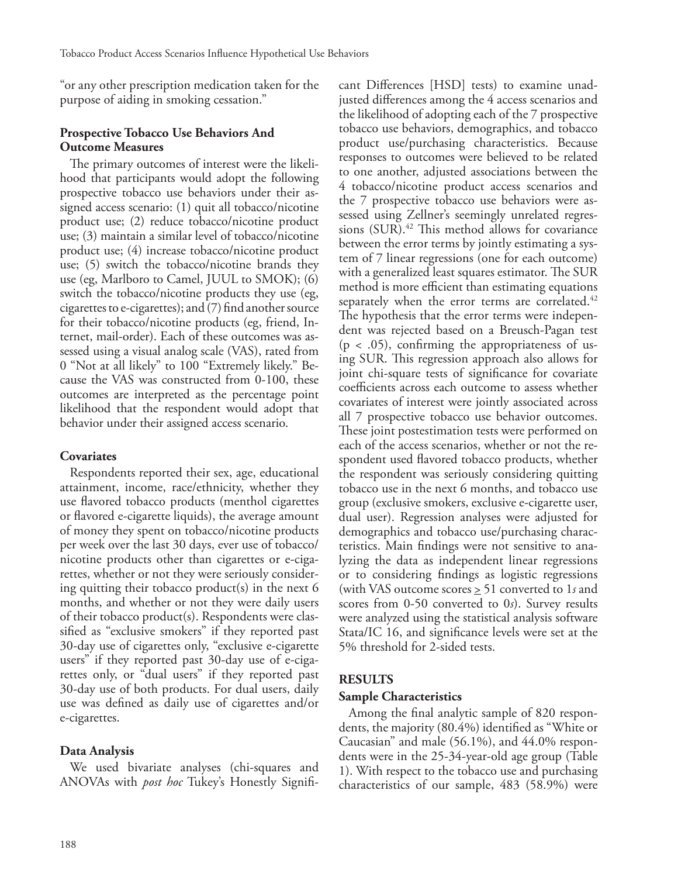"or any other prescription medication taken for the purpose of aiding in smoking cessation."

#### **Prospective Tobacco Use Behaviors And Outcome Measures**

The primary outcomes of interest were the likelihood that participants would adopt the following prospective tobacco use behaviors under their assigned access scenario: (1) quit all tobacco/nicotine product use; (2) reduce tobacco/nicotine product use; (3) maintain a similar level of tobacco/nicotine product use; (4) increase tobacco/nicotine product use; (5) switch the tobacco/nicotine brands they use (eg, Marlboro to Camel, JUUL to SMOK); (6) switch the tobacco/nicotine products they use (eg, cigarettes to e-cigarettes); and (7) find another source for their tobacco/nicotine products (eg, friend, Internet, mail-order). Each of these outcomes was assessed using a visual analog scale (VAS), rated from 0 "Not at all likely" to 100 "Extremely likely." Because the VAS was constructed from 0-100, these outcomes are interpreted as the percentage point likelihood that the respondent would adopt that behavior under their assigned access scenario.

# **Covariates**

Respondents reported their sex, age, educational attainment, income, race/ethnicity, whether they use flavored tobacco products (menthol cigarettes or flavored e-cigarette liquids), the average amount of money they spent on tobacco/nicotine products per week over the last 30 days, ever use of tobacco/ nicotine products other than cigarettes or e-cigarettes, whether or not they were seriously considering quitting their tobacco product(s) in the next  $6$ months, and whether or not they were daily users of their tobacco product(s). Respondents were classified as "exclusive smokers" if they reported past 30-day use of cigarettes only, "exclusive e-cigarette users" if they reported past 30-day use of e-cigarettes only, or "dual users" if they reported past 30-day use of both products. For dual users, daily use was defined as daily use of cigarettes and/or e-cigarettes.

#### **Data Analysis**

We used bivariate analyses (chi-squares and ANOVAs with *post hoc* Tukey's Honestly Significant Differences [HSD] tests) to examine unadjusted differences among the 4 access scenarios and the likelihood of adopting each of the 7 prospective tobacco use behaviors, demographics, and tobacco product use/purchasing characteristics. Because responses to outcomes were believed to be related to one another, adjusted associations between the 4 tobacco/nicotine product access scenarios and the 7 prospective tobacco use behaviors were assessed using Zellner's seemingly unrelated regressions (SUR).<sup>42</sup> This method allows for covariance between the error terms by jointly estimating a system of 7 linear regressions (one for each outcome) with a generalized least squares estimator. The SUR method is more efficient than estimating equations separately when the error terms are correlated.<sup>42</sup> The hypothesis that the error terms were independent was rejected based on a Breusch-Pagan test  $(p < .05)$ , confirming the appropriateness of using SUR. This regression approach also allows for joint chi-square tests of significance for covariate coefficients across each outcome to assess whether covariates of interest were jointly associated across all 7 prospective tobacco use behavior outcomes. These joint postestimation tests were performed on each of the access scenarios, whether or not the respondent used flavored tobacco products, whether the respondent was seriously considering quitting tobacco use in the next 6 months, and tobacco use group (exclusive smokers, exclusive e-cigarette user, dual user). Regression analyses were adjusted for demographics and tobacco use/purchasing characteristics. Main findings were not sensitive to analyzing the data as independent linear regressions or to considering findings as logistic regressions (with VAS outcome scores > 51 converted to 1*s* and scores from 0-50 converted to 0*s*). Survey results were analyzed using the statistical analysis software Stata/IC 16, and significance levels were set at the 5% threshold for 2-sided tests.

# **RESULTS**

#### **Sample Characteristics**

Among the final analytic sample of 820 respondents, the majority (80.4%) identified as "White or Caucasian" and male (56.1%), and 44.0% respondents were in the 25-34-year-old age group (Table 1). With respect to the tobacco use and purchasing characteristics of our sample, 483 (58.9%) were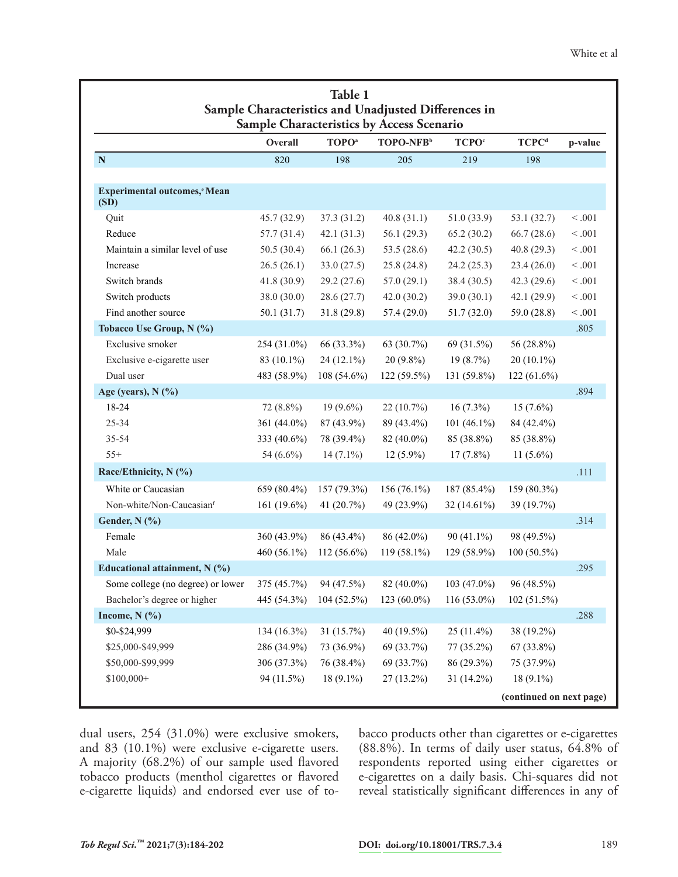|                                      | Overall      | <b>TOPO</b> <sup>a</sup> | TOPO-NFB <sup>b</sup> | <b>TCPO</b> <sup>c</sup> | <b>TCPC</b> <sup>d</sup> | p-value |
|--------------------------------------|--------------|--------------------------|-----------------------|--------------------------|--------------------------|---------|
| ${\bf N}$                            | 820          | 198                      | 205                   | 219                      | 198                      |         |
| Experimental outcomes, eMean<br>(SD) |              |                          |                       |                          |                          |         |
| Quit                                 | 45.7(32.9)   | 37.3(31.2)               | 40.8(31.1)            | 51.0(33.9)               | 53.1 (32.7)              | < 0.001 |
| Reduce                               | 57.7(31.4)   | 42.1(31.3)               | 56.1 $(29.3)$         | 65.2(30.2)               | 66.7(28.6)               | < 0.001 |
| Maintain a similar level of use      | 50.5(30.4)   | 66.1(26.3)               | 53.5 $(28.6)$         | 42.2(30.5)               | 40.8(29.3)               | < 0.001 |
| Increase                             | 26.5(26.1)   | 33.0(27.5)               | 25.8(24.8)            | 24.2(25.3)               | 23.4(26.0)               | < 0.001 |
| Switch brands                        | 41.8(30.9)   | 29.2(27.6)               | 57.0(29.1)            | 38.4(30.5)               | 42.3(29.6)               | < 0.001 |
| Switch products                      | 38.0 (30.0)  | 28.6(27.7)               | 42.0(30.2)            | 39.0(30.1)               | 42.1(29.9)               | < 0.001 |
| Find another source                  | 50.1(31.7)   | 31.8(29.8)               | 57.4(29.0)            | 51.7(32.0)               | 59.0 (28.8)              | < 0.001 |
| Tobacco Use Group, N (%)             |              |                          |                       |                          |                          | .805    |
| Exclusive smoker                     | 254 (31.0%)  | 66 (33.3%)               | 63 (30.7%)            | 69 (31.5%)               | 56 (28.8%)               |         |
| Exclusive e-cigarette user           | 83 (10.1%)   | $24(12.1\%)$             | $20(9.8\%)$           | 19(8.7%)                 | $20(10.1\%)$             |         |
| Dual user                            | 483 (58.9%)  | 108 (54.6%)              | 122 (59.5%)           | 131 (59.8%)              | $122(61.6\%)$            |         |
| Age (years), N (%)                   |              |                          |                       |                          |                          | .894    |
| 18-24                                | 72 (8.8%)    | $19(9.6\%)$              | 22 (10.7%)            | $16(7.3\%)$              | $15(7.6\%)$              |         |
| 25-34                                | 361 (44.0%)  | 87 (43.9%)               | 89 (43.4%)            | 101 (46.1%)              | 84 (42.4%)               |         |
| 35-54                                | 333 (40.6%)  | 78 (39.4%)               | 82 (40.0%)            | 85 (38.8%)               | 85 (38.8%)               |         |
| $55+$                                | 54 $(6.6\%)$ | $14(7.1\%)$              | $12(5.9\%)$           | $17(7.8\%)$              | 11 $(5.6\%)$             |         |
| Race/Ethnicity, N (%)                |              |                          |                       |                          |                          | .111    |
| White or Caucasian                   | 659 (80.4%)  | 157 (79.3%)              | 156 (76.1%)           | 187 (85.4%)              | 159 (80.3%)              |         |
| Non-white/Non-Caucasianf             | 161 (19.6%)  | 41 $(20.7%)$             | 49 (23.9%)            | 32 (14.61%)              | 39 (19.7%)               |         |
| Gender, N (%)                        |              |                          |                       |                          |                          | .314    |
| Female                               | 360 (43.9%)  | 86 (43.4%)               | 86 (42.0%)            | $90(41.1\%)$             | 98 (49.5%)               |         |
| Male                                 | 460 (56.1%)  | $112(56.6\%)$            | 119 (58.1%)           | 129 (58.9%)              | $100(50.5\%)$            |         |
| Educational attainment, N (%)        |              |                          |                       |                          |                          | .295    |
| Some college (no degree) or lower    | 375 (45.7%)  | 94 (47.5%)               | 82 (40.0%)            | 103 (47.0%)              | 96 (48.5%)               |         |
| Bachelor's degree or higher          | 445 (54.3%)  | 104 (52.5%)              | 123 (60.0%)           | $116(53.0\%)$            | 102 (51.5%)              |         |
| Income, $N$ (%)                      |              |                          |                       |                          |                          | .288    |
| \$0-\$24,999                         | 134 (16.3%)  | 31(15.7%)                | 40 (19.5%)            | $25(11.4\%)$             | 38 (19.2%)               |         |
| \$25,000-\$49,999                    | 286 (34.9%)  | 73 (36.9%)               | 69 (33.7%)            | 77 (35.2%)               | $67(33.8\%)$             |         |
| \$50,000-\$99,999                    | 306 (37.3%)  | 76 (38.4%)               | 69 (33.7%)            | 86 (29.3%)               | 75 (37.9%)               |         |
| $$100,000+$                          | 94 (11.5%)   | $18(9.1\%)$              | $27(13.2\%)$          | 31 (14.2%)               | $18(9.1\%)$              |         |

dual users, 254 (31.0%) were exclusive smokers, and 83 (10.1%) were exclusive e-cigarette users. A majority (68.2%) of our sample used flavored tobacco products (menthol cigarettes or flavored e-cigarette liquids) and endorsed ever use of tobacco products other than cigarettes or e-cigarettes (88.8%). In terms of daily user status, 64.8% of respondents reported using either cigarettes or e-cigarettes on a daily basis. Chi-squares did not reveal statistically significant differences in any of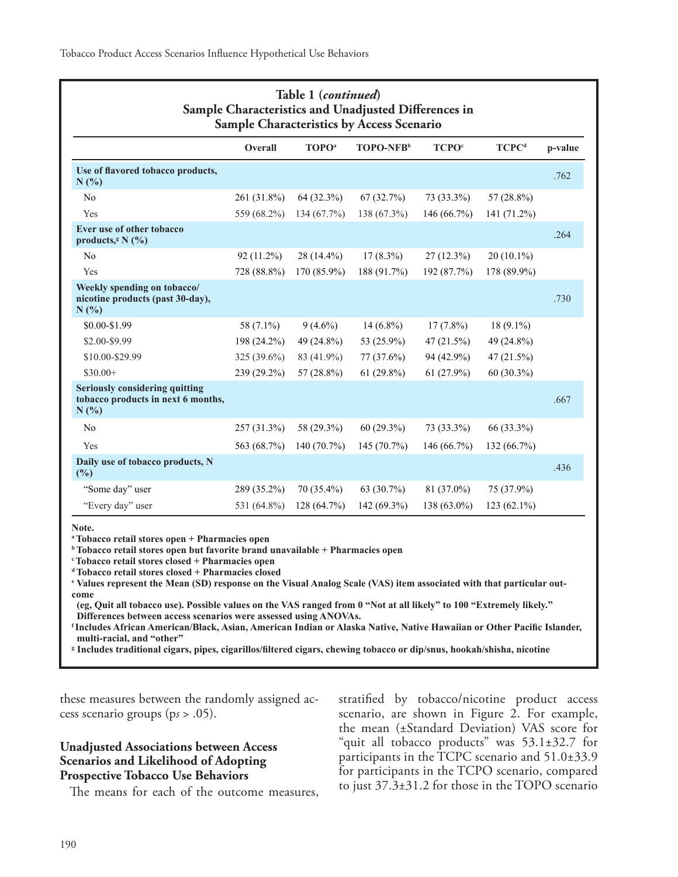| Table 1 (continued)<br>Sample Characteristics and Unadjusted Differences in<br>Sample Characteristics by Access Scenario |              |                          |                       |                          |                          |         |  |
|--------------------------------------------------------------------------------------------------------------------------|--------------|--------------------------|-----------------------|--------------------------|--------------------------|---------|--|
|                                                                                                                          | Overall      | <b>TOPO</b> <sup>a</sup> | TOPO-NFB <sup>b</sup> | <b>TCPO</b> <sup>c</sup> | <b>TCPC</b> <sup>d</sup> | p-value |  |
| Use of flavored tobacco products,<br>N(%)                                                                                |              |                          |                       |                          |                          | .762    |  |
| No                                                                                                                       | 261 (31.8%)  | 64 (32.3%)               | 67(32.7%)             | 73 (33.3%)               | 57 (28.8%)               |         |  |
| Yes                                                                                                                      | 559 (68.2%)  | 134 (67.7%)              | 138 (67.3%)           | 146 (66.7%)              | 141 (71.2%)              |         |  |
| Ever use of other tobacco<br>products, <sup>g</sup> N $(\%)$                                                             |              |                          |                       |                          |                          | .264    |  |
| No                                                                                                                       | $92(11.2\%)$ | $28(14.4\%)$             | $17(8.3\%)$           | $27(12.3\%)$             | $20(10.1\%)$             |         |  |
| Yes                                                                                                                      | 728 (88.8%)  | 170 (85.9%)              | 188 (91.7%)           | 192 (87.7%)              | 178 (89.9%)              |         |  |
| Weekly spending on tobacco/<br>nicotine products (past 30-day),<br>N(%)                                                  |              |                          |                       |                          |                          | .730    |  |
| \$0.00-\$1.99                                                                                                            | 58 (7.1%)    | $9(4.6\%)$               | $14(6.8\%)$           | $17(7.8\%)$              | $18(9.1\%)$              |         |  |
| \$2.00-\$9.99                                                                                                            | 198 (24.2%)  | 49 (24.8%)               | 53 (25.9%)            | 47 $(21.5\%)$            | 49 (24.8%)               |         |  |
| \$10.00-\$29.99                                                                                                          | 325 (39.6%)  | 83 (41.9%)               | 77 (37.6%)            | 94 (42.9%)               | 47 (21.5%)               |         |  |
| $$30.00+$                                                                                                                | 239 (29.2%)  | 57 (28.8%)               | $61(29.8\%)$          | $61(27.9\%)$             | 60 (30.3%)               |         |  |
| <b>Seriously considering quitting</b><br>tobacco products in next 6 months,<br>$N(\%)$                                   |              |                          |                       |                          |                          | .667    |  |
| No                                                                                                                       | 257 (31.3%)  | 58 (29.3%)               | $60(29.3\%)$          | 73 (33.3%)               | 66 (33.3%)               |         |  |
| Yes                                                                                                                      | 563 (68.7%)  | $140(70.7\%)$            | 145(70.7%)            | 146(66.7%)               | 132 (66.7%)              |         |  |
| Daily use of tobacco products, N<br>(%)                                                                                  |              |                          |                       |                          |                          | .436    |  |
| "Some day" user                                                                                                          | 289 (35.2%)  | 70 (35.4%)               | 63 (30.7%)            | 81 (37.0%)               | 75 (37.9%)               |         |  |
| "Every day" user                                                                                                         | 531 (64.8%)  | 128 (64.7%)              | 142 (69.3%)           | 138 (63.0%)              | $123(62.1\%)$            |         |  |

**Note.**

**a Tobacco retail stores open + Pharmacies open**

**b Tobacco retail stores open but favorite brand unavailable + Pharmacies open**

**c Tobacco retail stores closed + Pharmacies open**

**d Tobacco retail stores closed + Pharmacies closed**

**e Values represent the Mean (SD) response on the Visual Analog Scale (VAS) item associated with that particular outcome** 

 **(eg, Quit all tobacco use). Possible values on the VAS ranged from 0 "Not at all likely" to 100 "Extremely likely." Differences between access scenarios were assessed using ANOVAs.** 

**<sup>f</sup>Includes African American/Black, Asian, American Indian or Alaska Native, Native Hawaiian or Other Pacific Islander, multi-racial, and "other"** 

**g Includes traditional cigars, pipes, cigarillos/filtered cigars, chewing tobacco or dip/snus, hookah/shisha, nicotine** 

these measures between the randomly assigned access scenario groups (p*s* > .05).

#### **Unadjusted Associations between Access Scenarios and Likelihood of Adopting Prospective Tobacco Use Behaviors**

The means for each of the outcome measures,

stratified by tobacco/nicotine product access scenario, are shown in Figure 2. For example, the mean (±Standard Deviation) VAS score for "quit all tobacco products" was 53.1±32.7 for participants in the TCPC scenario and 51.0±33.9 for participants in the TCPO scenario, compared to just 37.3±31.2 for those in the TOPO scenario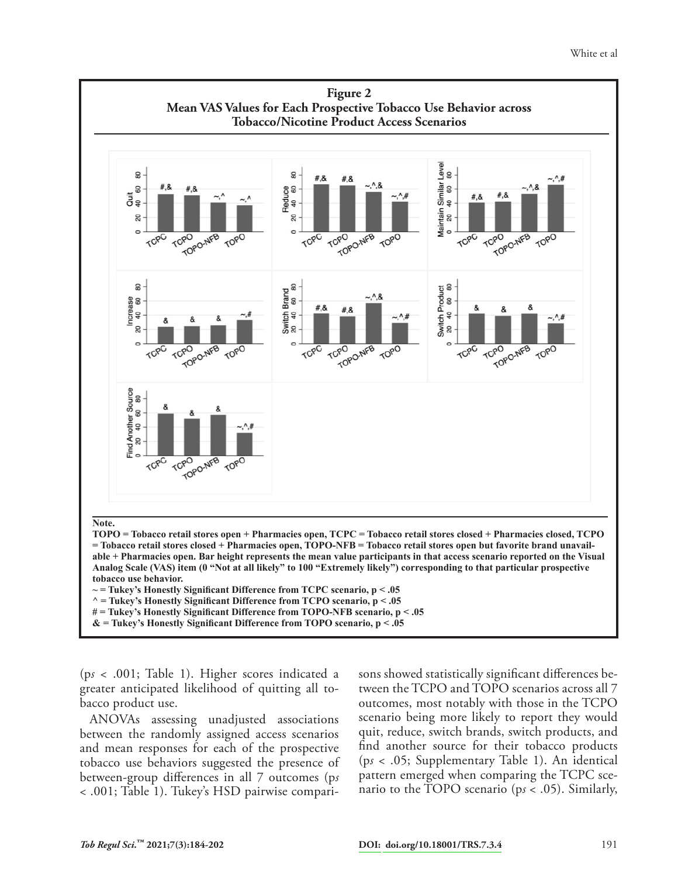

(p*s* < .001; Table 1). Higher scores indicated a greater anticipated likelihood of quitting all tobacco product use.

ANOVAs assessing unadjusted associations between the randomly assigned access scenarios and mean responses for each of the prospective tobacco use behaviors suggested the presence of between-group differences in all 7 outcomes (p*s* < .001; Table 1). Tukey's HSD pairwise comparisons showed statistically significant differences between the TCPO and TOPO scenarios across all 7 outcomes, most notably with those in the TCPO scenario being more likely to report they would quit, reduce, switch brands, switch products, and find another source for their tobacco products (p*s* < .05; Supplementary Table 1). An identical pattern emerged when comparing the TCPC scenario to the TOPO scenario (p*s* < .05). Similarly,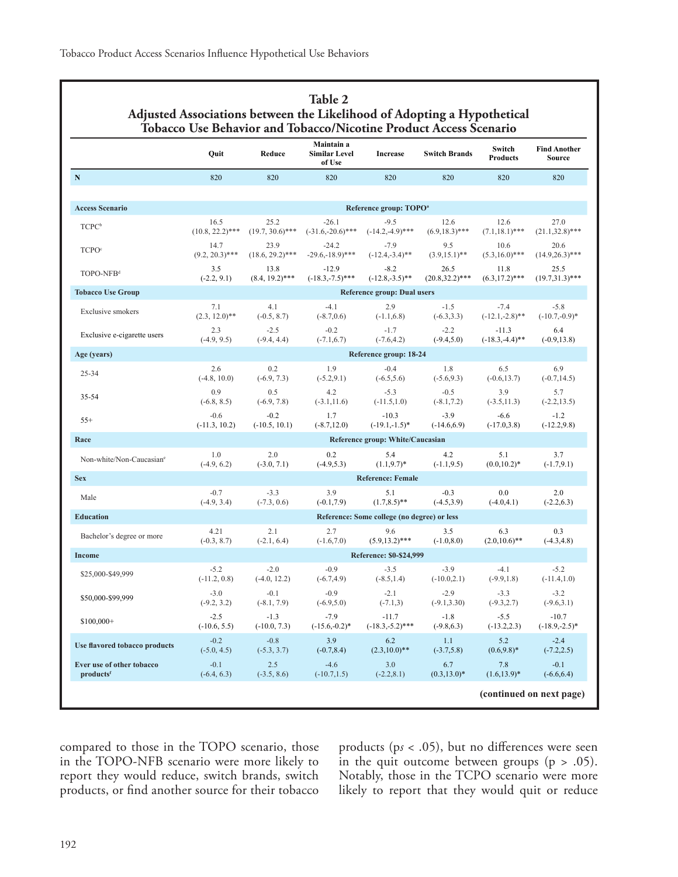| ${\bf N}$<br>820<br>820<br>820<br>820<br>820<br>820<br>820<br><b>Access Scenario</b><br>Reference group: TOPO <sup>a</sup><br>25.2<br>$-26.1$<br>27.0<br>16.5<br>$-9.5$<br>12.6<br>12.6<br>TCPC <sup>b</sup><br>$(-31.6,-20.6)$ ***<br>$(-14.2,-4.9)$ ***<br>$(6.9, 18.3)$ ***<br>$(10.8, 22.2)$ ***<br>$(19.7, 30.6)$ ***<br>$(7.1, 18.1)$ ***<br>$-7.9$<br>14.7<br>23.9<br>$-24.2$<br>9.5<br>10.6<br>20.6<br>TCPO <sup>c</sup><br>$(9.2, 20.3)$ ***<br>$(18.6, 29.2)$ ***<br>$-29.6,-18.9$ <sup>***</sup><br>$(-12.4,-3.4)$ **<br>$(3.9, 15.1)$ **<br>$(5.3, 16.0)$ ***<br>3.5<br>$-12.9$<br>$-8.2$<br>26.5<br>13.8<br>11.8<br>25.5<br>TOPO-NFB <sup>d</sup><br>$(-2.2, 9.1)$<br>$(8.4, 19.2)$ ***<br>$(-18.3,-7.5)$ ***<br>$(-12.8,-3.5)$ **<br>$(20.8, 32.2)$ ***<br>$(6.3, 17.2)$ ***<br><b>Tobacco Use Group</b><br><b>Reference group: Dual users</b><br>4.1<br>$-4.1$<br>2.9<br>$-1.5$<br>$-5.8$<br>7.1<br>$-7.4$<br>Exclusive smokers<br>$(2.3, 12.0)$ **<br>$(-0.5, 8.7)$<br>$(-8.7, 0.6)$<br>$(-1.1, 6.8)$<br>$(-6.3, 3.3)$<br>$(-12.1,-2.8)$ **<br>$(-10.7,-0.9)*$<br>2.3<br>$-2.5$<br>$-0.2$<br>$-1.7$<br>$-2.2$<br>$-11.3$<br>6.4<br>Exclusive e-cigarette users<br>$(-4.9, 9.5)$<br>$(-9.4, 4.4)$<br>$(-7.1, 6.7)$<br>$(-7.6, 4.2)$<br>$(-9.4, 5.0)$<br>$(-18.3,-4.4)$ **<br>$(-0.9, 13.8)$<br>Age (years)<br>Reference group: 18-24<br>$-0.4$<br>6.9<br>2.6<br>0.2<br>1.9<br>1.8<br>6.5<br>25-34<br>$(-6.5, 5.6)$<br>$(-5.6, 9.3)$<br>$(-4.8, 10.0)$<br>$(-6.9, 7.3)$<br>$(-5.2, 9.1)$<br>$(-0.6, 13.7)$<br>$(-0.7, 14.5)$<br>0.9<br>0.5<br>4.2<br>$-5.3$<br>$-0.5$<br>3.9<br>5.7<br>35-54<br>$(-6.8, 8.5)$<br>$(-6.9, 7.8)$<br>$(-3.1, 11.6)$<br>$(-11.5,1.0)$<br>$(-8.1, 7.2)$<br>$(-3.5, 11.3)$<br>$(-2.2, 13.5)$<br>$-0.6$<br>$-0.2$<br>1.7<br>$-10.3$<br>$-3.9$<br>$-6.6$<br>$-1.2$<br>$55+$<br>$(-11.3, 10.2)$<br>$(-10.5, 10.1)$<br>$(-8.7, 12.0)$<br>$(-19.1,-1.5)^*$<br>$(-14.6, 6.9)$<br>$(-17.0, 3.8)$<br>$(-12.2, 9.8)$<br>Reference group: White/Caucasian<br>Race<br>1.0<br>2.0<br>0.2<br>3.7<br>5.4<br>4.2<br>5.1<br>Non-white/Non-Caucasian <sup>e</sup><br>$(-4.9, 6.2)$<br>$(-3.0, 7.1)$<br>$(-4.9, 5.3)$<br>$(1.1, 9.7)^*$<br>$(-1.1, 9.5)$<br>$(0.0, 10.2)^*$<br>$(-1.7, 9.1)$<br><b>Sex</b><br><b>Reference: Female</b><br>3.9<br>$-0.7$<br>$-3.3$<br>0.0<br>2.0<br>5.1<br>$-0.3$<br>Male<br>$(1.7, 8.5)$ **<br>$(-4.9, 3.4)$<br>$(-7.3, 0.6)$<br>$(-0.1, 7.9)$<br>$(-4.5,3.9)$<br>$(-4.0, 4.1)$<br>$(-2.2, 6.3)$<br><b>Education</b><br>Reference: Some college (no degree) or less<br>4.21<br>2.1<br>2.7<br>3.5<br>6.3<br>0.3<br>9.6<br>Bachelor's degree or more<br>$(-1.6, 7.0)$<br>$(5.9, 13.2)$ ***<br>$(-1.0, 8.0)$<br>$(2.0,10.6)$ **<br>$(-0.3, 8.7)$<br>$(-2.1, 6.4)$<br>$(-4.3, 4.8)$<br>Reference: \$0-\$24,999<br><b>Income</b><br>$-5.2$<br>$-2.0$<br>$-0.9$<br>$-3.5$<br>$-3.9$<br>$-4.1$<br>$-5.2$<br>\$25,000-\$49,999<br>$(-9.9, 1.8)$<br>$(-11.2, 0.8)$<br>$(-4.0, 12.2)$<br>$(-6.7, 4.9)$<br>$(-8.5, 1.4)$<br>$(-10.0, 2.1)$<br>$(-11.4, 1.0)$<br>$-0.9$<br>$-2.1$<br>$-2.9$<br>$-3.0$<br>$-0.1$<br>$-3.3$<br>$-3.2$<br>\$50,000-\$99,999<br>$(-9.2, 3.2)$<br>$(-8.1, 7.9)$<br>$(-6.9, 5.0)$<br>$(-7.1,3)$<br>$(-9.1, 3.30)$<br>$(-9.3, 2.7)$<br>$(-9.6, 3.1)$<br>$-2.5$<br>$-1.3$<br>$-7.9$<br>$-1.8$<br>$-5.5$<br>$-10.7$<br>$-11.7$<br>$$100,000+$<br>$(-10.6, 5.5)$<br>$(-10.0, 7.3)$<br>$(-15.6,-0.2)$ *<br>$(-18.3,-5.2)$ ***<br>$(-9.8, 6.3)$<br>$(-13.2, 2.3)$<br>$(-18.9,-2.5)^*$<br>$-0.2$<br>$-0.8$<br>3.9<br>$-2.4$<br>6.2<br>1.1<br>5.2<br><b>Use flavored tobacco products</b><br>$(-5.0, 4.5)$<br>$(-5.3, 3.7)$<br>$(-0.7, 8.4)$<br>$(2.3,10.0)$ **<br>$(-3.7,5.8)$<br>$(0.6, 9.8)^*$<br>$(-7.2, 2.5)$<br>Ever use of other tobacco<br>2.5<br>$-4.6$<br>$-0.1$<br>$-0.1$<br>3.0<br>6.7<br>7.8<br>$(1.6, 13.9)^*$<br>products <sup>f</sup><br>$(-6.4, 6.3)$<br>$(-3.5, 8.6)$<br>$(-10.7, 1.5)$<br>$(-2.2, 8.1)$<br>$(0.3, 13.0)^*$<br>$(-6.6, 6.4)$ | Quit | Reduce | Maintain a<br><b>Similar Level</b><br>of Use | <b>Increase</b> | <b>Switch Brands</b> | Switch<br><b>Products</b> | <b>Find Another</b><br><b>Source</b> |  |  |  |
|----------------------------------------------------------------------------------------------------------------------------------------------------------------------------------------------------------------------------------------------------------------------------------------------------------------------------------------------------------------------------------------------------------------------------------------------------------------------------------------------------------------------------------------------------------------------------------------------------------------------------------------------------------------------------------------------------------------------------------------------------------------------------------------------------------------------------------------------------------------------------------------------------------------------------------------------------------------------------------------------------------------------------------------------------------------------------------------------------------------------------------------------------------------------------------------------------------------------------------------------------------------------------------------------------------------------------------------------------------------------------------------------------------------------------------------------------------------------------------------------------------------------------------------------------------------------------------------------------------------------------------------------------------------------------------------------------------------------------------------------------------------------------------------------------------------------------------------------------------------------------------------------------------------------------------------------------------------------------------------------------------------------------------------------------------------------------------------------------------------------------------------------------------------------------------------------------------------------------------------------------------------------------------------------------------------------------------------------------------------------------------------------------------------------------------------------------------------------------------------------------------------------------------------------------------------------------------------------------------------------------------------------------------------------------------------------------------------------------------------------------------------------------------------------------------------------------------------------------------------------------------------------------------------------------------------------------------------------------------------------------------------------------------------------------------------------------------------------------------------------------------------------------------------------------------------------------------------------------------------------------------------------------------------------------------------------------------------------------------------------------------------------------------------------------------------------------------------------------------------------------------------------------------------------------------------------------------------------------------------------------------------------------------------------------------------------------------------------------------------------------------------------------------------------------------------------------------------------------------------------------------------------------------------------------|------|--------|----------------------------------------------|-----------------|----------------------|---------------------------|--------------------------------------|--|--|--|
|                                                                                                                                                                                                                                                                                                                                                                                                                                                                                                                                                                                                                                                                                                                                                                                                                                                                                                                                                                                                                                                                                                                                                                                                                                                                                                                                                                                                                                                                                                                                                                                                                                                                                                                                                                                                                                                                                                                                                                                                                                                                                                                                                                                                                                                                                                                                                                                                                                                                                                                                                                                                                                                                                                                                                                                                                                                                                                                                                                                                                                                                                                                                                                                                                                                                                                                                                                                                                                                                                                                                                                                                                                                                                                                                                                                                                                                                                                                            |      |        |                                              |                 |                      |                           |                                      |  |  |  |
|                                                                                                                                                                                                                                                                                                                                                                                                                                                                                                                                                                                                                                                                                                                                                                                                                                                                                                                                                                                                                                                                                                                                                                                                                                                                                                                                                                                                                                                                                                                                                                                                                                                                                                                                                                                                                                                                                                                                                                                                                                                                                                                                                                                                                                                                                                                                                                                                                                                                                                                                                                                                                                                                                                                                                                                                                                                                                                                                                                                                                                                                                                                                                                                                                                                                                                                                                                                                                                                                                                                                                                                                                                                                                                                                                                                                                                                                                                                            |      |        |                                              |                 |                      |                           |                                      |  |  |  |
|                                                                                                                                                                                                                                                                                                                                                                                                                                                                                                                                                                                                                                                                                                                                                                                                                                                                                                                                                                                                                                                                                                                                                                                                                                                                                                                                                                                                                                                                                                                                                                                                                                                                                                                                                                                                                                                                                                                                                                                                                                                                                                                                                                                                                                                                                                                                                                                                                                                                                                                                                                                                                                                                                                                                                                                                                                                                                                                                                                                                                                                                                                                                                                                                                                                                                                                                                                                                                                                                                                                                                                                                                                                                                                                                                                                                                                                                                                                            |      |        |                                              |                 |                      |                           | $(21.1, 32.8)$ ***                   |  |  |  |
|                                                                                                                                                                                                                                                                                                                                                                                                                                                                                                                                                                                                                                                                                                                                                                                                                                                                                                                                                                                                                                                                                                                                                                                                                                                                                                                                                                                                                                                                                                                                                                                                                                                                                                                                                                                                                                                                                                                                                                                                                                                                                                                                                                                                                                                                                                                                                                                                                                                                                                                                                                                                                                                                                                                                                                                                                                                                                                                                                                                                                                                                                                                                                                                                                                                                                                                                                                                                                                                                                                                                                                                                                                                                                                                                                                                                                                                                                                                            |      |        |                                              |                 |                      |                           | $(14.9,26.3)$ ***                    |  |  |  |
|                                                                                                                                                                                                                                                                                                                                                                                                                                                                                                                                                                                                                                                                                                                                                                                                                                                                                                                                                                                                                                                                                                                                                                                                                                                                                                                                                                                                                                                                                                                                                                                                                                                                                                                                                                                                                                                                                                                                                                                                                                                                                                                                                                                                                                                                                                                                                                                                                                                                                                                                                                                                                                                                                                                                                                                                                                                                                                                                                                                                                                                                                                                                                                                                                                                                                                                                                                                                                                                                                                                                                                                                                                                                                                                                                                                                                                                                                                                            |      |        |                                              |                 |                      |                           | $(19.7,31.3)$ ***                    |  |  |  |
|                                                                                                                                                                                                                                                                                                                                                                                                                                                                                                                                                                                                                                                                                                                                                                                                                                                                                                                                                                                                                                                                                                                                                                                                                                                                                                                                                                                                                                                                                                                                                                                                                                                                                                                                                                                                                                                                                                                                                                                                                                                                                                                                                                                                                                                                                                                                                                                                                                                                                                                                                                                                                                                                                                                                                                                                                                                                                                                                                                                                                                                                                                                                                                                                                                                                                                                                                                                                                                                                                                                                                                                                                                                                                                                                                                                                                                                                                                                            |      |        |                                              |                 |                      |                           |                                      |  |  |  |
|                                                                                                                                                                                                                                                                                                                                                                                                                                                                                                                                                                                                                                                                                                                                                                                                                                                                                                                                                                                                                                                                                                                                                                                                                                                                                                                                                                                                                                                                                                                                                                                                                                                                                                                                                                                                                                                                                                                                                                                                                                                                                                                                                                                                                                                                                                                                                                                                                                                                                                                                                                                                                                                                                                                                                                                                                                                                                                                                                                                                                                                                                                                                                                                                                                                                                                                                                                                                                                                                                                                                                                                                                                                                                                                                                                                                                                                                                                                            |      |        |                                              |                 |                      |                           |                                      |  |  |  |
|                                                                                                                                                                                                                                                                                                                                                                                                                                                                                                                                                                                                                                                                                                                                                                                                                                                                                                                                                                                                                                                                                                                                                                                                                                                                                                                                                                                                                                                                                                                                                                                                                                                                                                                                                                                                                                                                                                                                                                                                                                                                                                                                                                                                                                                                                                                                                                                                                                                                                                                                                                                                                                                                                                                                                                                                                                                                                                                                                                                                                                                                                                                                                                                                                                                                                                                                                                                                                                                                                                                                                                                                                                                                                                                                                                                                                                                                                                                            |      |        |                                              |                 |                      |                           |                                      |  |  |  |
|                                                                                                                                                                                                                                                                                                                                                                                                                                                                                                                                                                                                                                                                                                                                                                                                                                                                                                                                                                                                                                                                                                                                                                                                                                                                                                                                                                                                                                                                                                                                                                                                                                                                                                                                                                                                                                                                                                                                                                                                                                                                                                                                                                                                                                                                                                                                                                                                                                                                                                                                                                                                                                                                                                                                                                                                                                                                                                                                                                                                                                                                                                                                                                                                                                                                                                                                                                                                                                                                                                                                                                                                                                                                                                                                                                                                                                                                                                                            |      |        |                                              |                 |                      |                           |                                      |  |  |  |
|                                                                                                                                                                                                                                                                                                                                                                                                                                                                                                                                                                                                                                                                                                                                                                                                                                                                                                                                                                                                                                                                                                                                                                                                                                                                                                                                                                                                                                                                                                                                                                                                                                                                                                                                                                                                                                                                                                                                                                                                                                                                                                                                                                                                                                                                                                                                                                                                                                                                                                                                                                                                                                                                                                                                                                                                                                                                                                                                                                                                                                                                                                                                                                                                                                                                                                                                                                                                                                                                                                                                                                                                                                                                                                                                                                                                                                                                                                                            |      |        |                                              |                 |                      |                           |                                      |  |  |  |
|                                                                                                                                                                                                                                                                                                                                                                                                                                                                                                                                                                                                                                                                                                                                                                                                                                                                                                                                                                                                                                                                                                                                                                                                                                                                                                                                                                                                                                                                                                                                                                                                                                                                                                                                                                                                                                                                                                                                                                                                                                                                                                                                                                                                                                                                                                                                                                                                                                                                                                                                                                                                                                                                                                                                                                                                                                                                                                                                                                                                                                                                                                                                                                                                                                                                                                                                                                                                                                                                                                                                                                                                                                                                                                                                                                                                                                                                                                                            |      |        |                                              |                 |                      |                           |                                      |  |  |  |
|                                                                                                                                                                                                                                                                                                                                                                                                                                                                                                                                                                                                                                                                                                                                                                                                                                                                                                                                                                                                                                                                                                                                                                                                                                                                                                                                                                                                                                                                                                                                                                                                                                                                                                                                                                                                                                                                                                                                                                                                                                                                                                                                                                                                                                                                                                                                                                                                                                                                                                                                                                                                                                                                                                                                                                                                                                                                                                                                                                                                                                                                                                                                                                                                                                                                                                                                                                                                                                                                                                                                                                                                                                                                                                                                                                                                                                                                                                                            |      |        |                                              |                 |                      |                           |                                      |  |  |  |
|                                                                                                                                                                                                                                                                                                                                                                                                                                                                                                                                                                                                                                                                                                                                                                                                                                                                                                                                                                                                                                                                                                                                                                                                                                                                                                                                                                                                                                                                                                                                                                                                                                                                                                                                                                                                                                                                                                                                                                                                                                                                                                                                                                                                                                                                                                                                                                                                                                                                                                                                                                                                                                                                                                                                                                                                                                                                                                                                                                                                                                                                                                                                                                                                                                                                                                                                                                                                                                                                                                                                                                                                                                                                                                                                                                                                                                                                                                                            |      |        |                                              |                 |                      |                           |                                      |  |  |  |
|                                                                                                                                                                                                                                                                                                                                                                                                                                                                                                                                                                                                                                                                                                                                                                                                                                                                                                                                                                                                                                                                                                                                                                                                                                                                                                                                                                                                                                                                                                                                                                                                                                                                                                                                                                                                                                                                                                                                                                                                                                                                                                                                                                                                                                                                                                                                                                                                                                                                                                                                                                                                                                                                                                                                                                                                                                                                                                                                                                                                                                                                                                                                                                                                                                                                                                                                                                                                                                                                                                                                                                                                                                                                                                                                                                                                                                                                                                                            |      |        |                                              |                 |                      |                           |                                      |  |  |  |
|                                                                                                                                                                                                                                                                                                                                                                                                                                                                                                                                                                                                                                                                                                                                                                                                                                                                                                                                                                                                                                                                                                                                                                                                                                                                                                                                                                                                                                                                                                                                                                                                                                                                                                                                                                                                                                                                                                                                                                                                                                                                                                                                                                                                                                                                                                                                                                                                                                                                                                                                                                                                                                                                                                                                                                                                                                                                                                                                                                                                                                                                                                                                                                                                                                                                                                                                                                                                                                                                                                                                                                                                                                                                                                                                                                                                                                                                                                                            |      |        |                                              |                 |                      |                           |                                      |  |  |  |
|                                                                                                                                                                                                                                                                                                                                                                                                                                                                                                                                                                                                                                                                                                                                                                                                                                                                                                                                                                                                                                                                                                                                                                                                                                                                                                                                                                                                                                                                                                                                                                                                                                                                                                                                                                                                                                                                                                                                                                                                                                                                                                                                                                                                                                                                                                                                                                                                                                                                                                                                                                                                                                                                                                                                                                                                                                                                                                                                                                                                                                                                                                                                                                                                                                                                                                                                                                                                                                                                                                                                                                                                                                                                                                                                                                                                                                                                                                                            |      |        |                                              |                 |                      |                           |                                      |  |  |  |
|                                                                                                                                                                                                                                                                                                                                                                                                                                                                                                                                                                                                                                                                                                                                                                                                                                                                                                                                                                                                                                                                                                                                                                                                                                                                                                                                                                                                                                                                                                                                                                                                                                                                                                                                                                                                                                                                                                                                                                                                                                                                                                                                                                                                                                                                                                                                                                                                                                                                                                                                                                                                                                                                                                                                                                                                                                                                                                                                                                                                                                                                                                                                                                                                                                                                                                                                                                                                                                                                                                                                                                                                                                                                                                                                                                                                                                                                                                                            |      |        |                                              |                 |                      |                           |                                      |  |  |  |
|                                                                                                                                                                                                                                                                                                                                                                                                                                                                                                                                                                                                                                                                                                                                                                                                                                                                                                                                                                                                                                                                                                                                                                                                                                                                                                                                                                                                                                                                                                                                                                                                                                                                                                                                                                                                                                                                                                                                                                                                                                                                                                                                                                                                                                                                                                                                                                                                                                                                                                                                                                                                                                                                                                                                                                                                                                                                                                                                                                                                                                                                                                                                                                                                                                                                                                                                                                                                                                                                                                                                                                                                                                                                                                                                                                                                                                                                                                                            |      |        |                                              |                 |                      |                           |                                      |  |  |  |
|                                                                                                                                                                                                                                                                                                                                                                                                                                                                                                                                                                                                                                                                                                                                                                                                                                                                                                                                                                                                                                                                                                                                                                                                                                                                                                                                                                                                                                                                                                                                                                                                                                                                                                                                                                                                                                                                                                                                                                                                                                                                                                                                                                                                                                                                                                                                                                                                                                                                                                                                                                                                                                                                                                                                                                                                                                                                                                                                                                                                                                                                                                                                                                                                                                                                                                                                                                                                                                                                                                                                                                                                                                                                                                                                                                                                                                                                                                                            |      |        |                                              |                 |                      |                           |                                      |  |  |  |
|                                                                                                                                                                                                                                                                                                                                                                                                                                                                                                                                                                                                                                                                                                                                                                                                                                                                                                                                                                                                                                                                                                                                                                                                                                                                                                                                                                                                                                                                                                                                                                                                                                                                                                                                                                                                                                                                                                                                                                                                                                                                                                                                                                                                                                                                                                                                                                                                                                                                                                                                                                                                                                                                                                                                                                                                                                                                                                                                                                                                                                                                                                                                                                                                                                                                                                                                                                                                                                                                                                                                                                                                                                                                                                                                                                                                                                                                                                                            |      |        |                                              |                 |                      |                           |                                      |  |  |  |
|                                                                                                                                                                                                                                                                                                                                                                                                                                                                                                                                                                                                                                                                                                                                                                                                                                                                                                                                                                                                                                                                                                                                                                                                                                                                                                                                                                                                                                                                                                                                                                                                                                                                                                                                                                                                                                                                                                                                                                                                                                                                                                                                                                                                                                                                                                                                                                                                                                                                                                                                                                                                                                                                                                                                                                                                                                                                                                                                                                                                                                                                                                                                                                                                                                                                                                                                                                                                                                                                                                                                                                                                                                                                                                                                                                                                                                                                                                                            |      |        |                                              |                 |                      |                           |                                      |  |  |  |
|                                                                                                                                                                                                                                                                                                                                                                                                                                                                                                                                                                                                                                                                                                                                                                                                                                                                                                                                                                                                                                                                                                                                                                                                                                                                                                                                                                                                                                                                                                                                                                                                                                                                                                                                                                                                                                                                                                                                                                                                                                                                                                                                                                                                                                                                                                                                                                                                                                                                                                                                                                                                                                                                                                                                                                                                                                                                                                                                                                                                                                                                                                                                                                                                                                                                                                                                                                                                                                                                                                                                                                                                                                                                                                                                                                                                                                                                                                                            |      |        |                                              |                 |                      |                           |                                      |  |  |  |
|                                                                                                                                                                                                                                                                                                                                                                                                                                                                                                                                                                                                                                                                                                                                                                                                                                                                                                                                                                                                                                                                                                                                                                                                                                                                                                                                                                                                                                                                                                                                                                                                                                                                                                                                                                                                                                                                                                                                                                                                                                                                                                                                                                                                                                                                                                                                                                                                                                                                                                                                                                                                                                                                                                                                                                                                                                                                                                                                                                                                                                                                                                                                                                                                                                                                                                                                                                                                                                                                                                                                                                                                                                                                                                                                                                                                                                                                                                                            |      |        |                                              |                 |                      |                           |                                      |  |  |  |
|                                                                                                                                                                                                                                                                                                                                                                                                                                                                                                                                                                                                                                                                                                                                                                                                                                                                                                                                                                                                                                                                                                                                                                                                                                                                                                                                                                                                                                                                                                                                                                                                                                                                                                                                                                                                                                                                                                                                                                                                                                                                                                                                                                                                                                                                                                                                                                                                                                                                                                                                                                                                                                                                                                                                                                                                                                                                                                                                                                                                                                                                                                                                                                                                                                                                                                                                                                                                                                                                                                                                                                                                                                                                                                                                                                                                                                                                                                                            |      |        |                                              |                 |                      |                           |                                      |  |  |  |

compared to those in the TOPO scenario, those in the TOPO-NFB scenario were more likely to report they would reduce, switch brands, switch products, or find another source for their tobacco products (p*s* < .05), but no differences were seen in the quit outcome between groups  $(p > .05)$ . Notably, those in the TCPO scenario were more likely to report that they would quit or reduce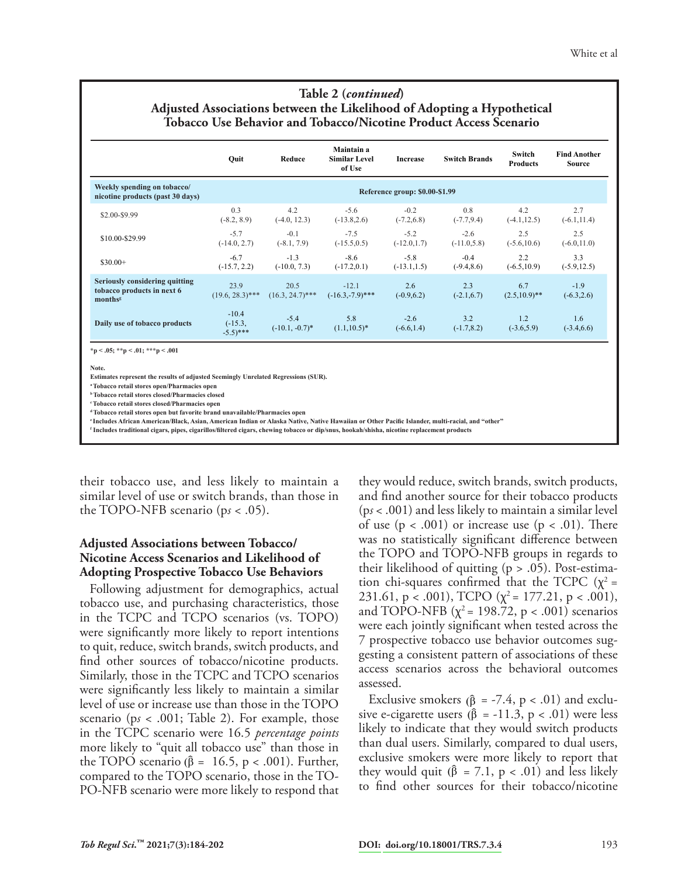| Table 2 ( <i>continued</i> )                                             |
|--------------------------------------------------------------------------|
| Adjusted Associations between the Likelihood of Adopting a Hypothetical  |
| <b>Tobacco Use Behavior and Tobacco/Nicotine Product Access Scenario</b> |

|                                                                        | Quit                                          | Reduce                      | Maintain a<br><b>Similar Level</b><br>of Use | <b>Increase</b>                | <b>Switch Brands</b>     | Switch<br><b>Products</b> | <b>Find Another</b><br><b>Source</b> |
|------------------------------------------------------------------------|-----------------------------------------------|-----------------------------|----------------------------------------------|--------------------------------|--------------------------|---------------------------|--------------------------------------|
| Weekly spending on tobacco/<br>nicotine products (past 30 days)        |                                               |                             |                                              | Reference group: \$0.00-\$1.99 |                          |                           |                                      |
| \$2.00-\$9.99                                                          | 0.3<br>$(-8.2, 8.9)$                          | 4.2<br>$(-4.0, 12.3)$       | $-5.6$<br>$(-13.8, 2.6)$                     | $-0.2$<br>$(-7.2, 6.8)$        | 0.8<br>$(-7.7, 9.4)$     | 42<br>$(-4.1, 12.5)$      | 2.7<br>$(-6.1, 11.4)$                |
| \$10.00-\$29.99                                                        | $-5.7$<br>$(-14.0, 2.7)$                      | $-0.1$<br>$(-8.1, 7.9)$     | $-7.5$<br>$(-15.5, 0.5)$                     | $-5.2$<br>$(-12.0, 1.7)$       | $-2.6$<br>$(-11.0, 5.8)$ | 2.5<br>$(-5.6, 10.6)$     | 2.5<br>$(-6.0, 11.0)$                |
| $$30.00+$                                                              | $-6.7$<br>$(-15.7, 2.2)$                      | $-1.3$<br>$(-10.0, 7.3)$    | $-8.6$<br>$(-17.2, 0.1)$                     | $-5.8$<br>$(-13.1, 1.5)$       | $-0.4$<br>$(-9.4, 8.6)$  | 2.2<br>$(-6.5, 10.9)$     | 3.3<br>$(-5.9, 12.5)$                |
| Seriously considering quitting<br>tobacco products in next 6<br>months | 23.9<br>$(19.6, 28.3)$ ***                    | 20.5<br>$(16.3, 24.7)$ ***  | $-12.1$<br>$(-16.3,-7.9)$ ***                | 2.6<br>$(-0.9, 6.2)$           | 2.3<br>$(-2.1, 6.7)$     | 6.7<br>$(2.5,10.9)$ **    | $-1.9$<br>$(-6.3, 2.6)$              |
| Daily use of tobacco products                                          | $-10.4$<br>$(-15.3,$<br>$-5.5$ <sup>***</sup> | $-5.4$<br>$(-10.1, -0.7)^*$ | 5.8<br>$(1.1, 10.5)^*$                       | $-2.6$<br>$(-6.6, 1.4)$        | 3.2<br>$(-1.7, 8.2)$     | 1.2<br>$(-3.6, 5.9)$      | 1.6<br>$(-3.4, 6.6)$                 |

**\*p < .05; \*\*p < .01; \*\*\*p < .001**

**Note.**

**Estimates represent the results of adjusted Seemingly Unrelated Regressions (SUR).** 

**a Tobacco retail stores open/Pharmacies open**

**b Tobacco retail stores closed/Pharmacies closed**

**c Tobacco retail stores closed/Pharmacies open**

**d Tobacco retail stores open but favorite brand unavailable/Pharmacies open**

**<sup>e</sup>Includes African American/Black, Asian, American Indian or Alaska Native, Native Hawaiian or Other Pacific Islander, multi-racial, and "other"**

**f Includes traditional cigars, pipes, cigarillos/filtered cigars, chewing tobacco or dip/snus, hookah/shisha, nicotine replacement products** 

their tobacco use, and less likely to maintain a similar level of use or switch brands, than those in the TOPO-NFB scenario (p*s* < .05).

#### **Adjusted Associations between Tobacco/ Nicotine Access Scenarios and Likelihood of Adopting Prospective Tobacco Use Behaviors**

Following adjustment for demographics, actual tobacco use, and purchasing characteristics, those in the TCPC and TCPO scenarios (vs. TOPO) were significantly more likely to report intentions to quit, reduce, switch brands, switch products, and find other sources of tobacco/nicotine products. Similarly, those in the TCPC and TCPO scenarios were significantly less likely to maintain a similar level of use or increase use than those in the TOPO scenario (p*s* < .001; Table 2). For example, those in the TCPC scenario were 16.5 *percentage points* more likely to "quit all tobacco use" than those in the TOPO scenario ( $\hat{\beta} = 16.5$ , p < .001). Further, compared to the TOPO scenario, those in the TO-PO-NFB scenario were more likely to respond that

they would reduce, switch brands, switch products, and find another source for their tobacco products (p*s* < .001) and less likely to maintain a similar level of use  $(p < .001)$  or increase use  $(p < .01)$ . There was no statistically significant difference between the TOPO and TOPO-NFB groups in regards to their likelihood of quitting  $(p > .05)$ . Post-estimation chi-squares confirmed that the TCPC  $(\chi^2 =$ 231.61, p < .001), TCPO  $(\chi^2 = 177.21, p < .001)$ , and TOPO-NFB  $(\chi^2 = 198.72, p < .001)$  scenarios were each jointly significant when tested across the 7 prospective tobacco use behavior outcomes suggesting a consistent pattern of associations of these access scenarios across the behavioral outcomes assessed.

Exclusive smokers ( $\hat{\beta}$  = -7.4, p < .01) and exclusive e-cigarette users ( $\hat{\beta}$  = -11.3, p < .01) were less likely to indicate that they would switch products than dual users. Similarly, compared to dual users, exclusive smokers were more likely to report that they would quit ( $\hat{\beta}$  = 7.1, p < .01) and less likely to find other sources for their tobacco/nicotine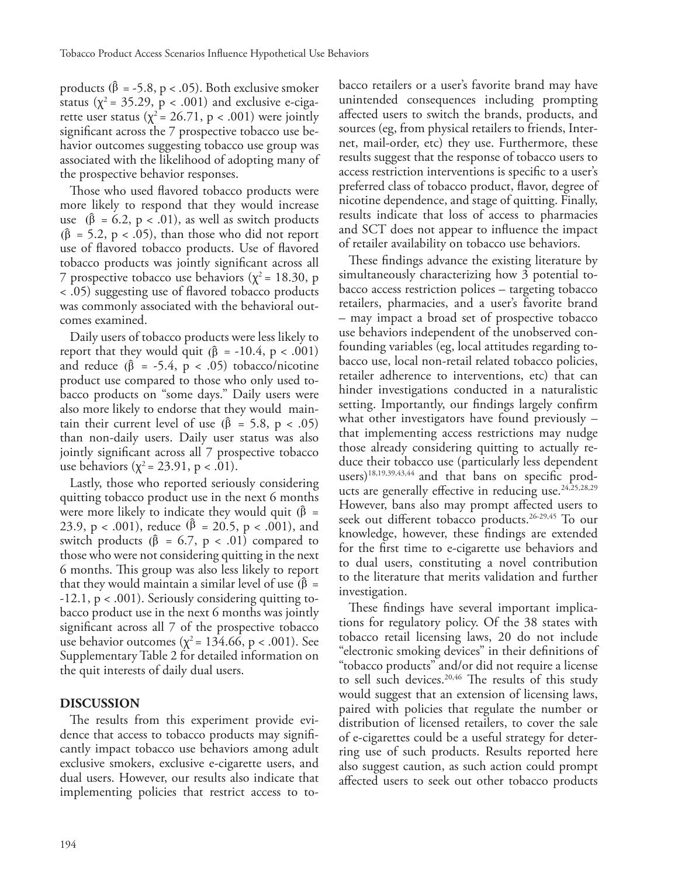products ( $\hat{\beta}$  = -5.8, p < .05). Both exclusive smoker status ( $\chi^2$  = 35.29, p < .001) and exclusive e-cigarette user status ( $\chi^2$  = 26.71, p < .001) were jointly significant across the 7 prospective tobacco use behavior outcomes suggesting tobacco use group was associated with the likelihood of adopting many of the prospective behavior responses.

Those who used flavored tobacco products were more likely to respond that they would increase use  $(\hat{\beta} = 6.2, p < .01)$ , as well as switch products  $(\hat{\beta} = 5.2, p < .05)$ , than those who did not report use of flavored tobacco products. Use of flavored tobacco products was jointly significant across all 7 prospective tobacco use behaviors ( $\chi^2$  = 18.30, p < .05) suggesting use of flavored tobacco products was commonly associated with the behavioral outcomes examined.

Daily users of tobacco products were less likely to report that they would quit  $(\hat{\beta} = -10.4, p < .001)$ and reduce  $(\hat{\beta} = -5.4, p < .05)$  tobacco/nicotine product use compared to those who only used tobacco products on "some days." Daily users were also more likely to endorse that they would maintain their current level of use ( $\hat{\beta}$  = 5.8, p < .05) than non-daily users. Daily user status was also jointly significant across all 7 prospective tobacco use behaviors ( $\chi^2$  = 23.91, p < .01).

Lastly, those who reported seriously considering quitting tobacco product use in the next 6 months were more likely to indicate they would quit ( $\hat{\beta}$  = 23.9, p < .001), reduce ( $\beta$  = 20.5, p < .001), and switch products ( $\hat{\beta}$  = 6.7, p < .01) compared to those who were not considering quitting in the next 6 months. This group was also less likely to report that they would maintain a similar level of use ( $\hat{\beta}$  = -12.1, p < .001). Seriously considering quitting tobacco product use in the next 6 months was jointly significant across all 7 of the prospective tobacco use behavior outcomes ( $\chi^2$  = 134.66, p < .001). See Supplementary Table 2 for detailed information on the quit interests of daily dual users.

#### **DISCUSSION**

The results from this experiment provide evidence that access to tobacco products may significantly impact tobacco use behaviors among adult exclusive smokers, exclusive e-cigarette users, and dual users. However, our results also indicate that implementing policies that restrict access to tobacco retailers or a user's favorite brand may have unintended consequences including prompting affected users to switch the brands, products, and sources (eg, from physical retailers to friends, Internet, mail-order, etc) they use. Furthermore, these results suggest that the response of tobacco users to access restriction interventions is specific to a user's preferred class of tobacco product, flavor, degree of nicotine dependence, and stage of quitting. Finally, results indicate that loss of access to pharmacies and SCT does not appear to influence the impact of retailer availability on tobacco use behaviors.

These findings advance the existing literature by simultaneously characterizing how 3 potential tobacco access restriction polices – targeting tobacco retailers, pharmacies, and a user's favorite brand – may impact a broad set of prospective tobacco use behaviors independent of the unobserved confounding variables (eg, local attitudes regarding tobacco use, local non-retail related tobacco policies, retailer adherence to interventions, etc) that can hinder investigations conducted in a naturalistic setting. Importantly, our findings largely confirm what other investigators have found previously – that implementing access restrictions may nudge those already considering quitting to actually reduce their tobacco use (particularly less dependent users)<sup>18,19,39,43,44</sup> and that bans on specific products are generally effective in reducing use.<sup>24,25,28,29</sup> However, bans also may prompt affected users to seek out different tobacco products.<sup>26-29,45</sup> To our knowledge, however, these findings are extended for the first time to e-cigarette use behaviors and to dual users, constituting a novel contribution to the literature that merits validation and further investigation.

These findings have several important implications for regulatory policy. Of the 38 states with tobacco retail licensing laws, 20 do not include "electronic smoking devices" in their definitions of "tobacco products" and/or did not require a license to sell such devices.<sup>20,46</sup> The results of this study would suggest that an extension of licensing laws, paired with policies that regulate the number or distribution of licensed retailers, to cover the sale of e-cigarettes could be a useful strategy for deterring use of such products. Results reported here also suggest caution, as such action could prompt affected users to seek out other tobacco products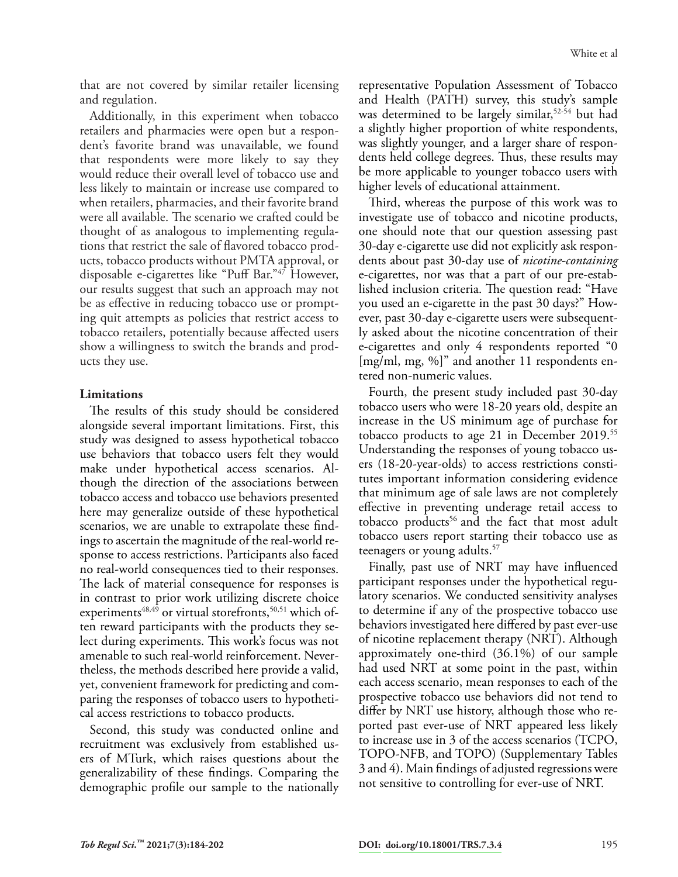that are not covered by similar retailer licensing and regulation.

Additionally, in this experiment when tobacco retailers and pharmacies were open but a respondent's favorite brand was unavailable, we found that respondents were more likely to say they would reduce their overall level of tobacco use and less likely to maintain or increase use compared to when retailers, pharmacies, and their favorite brand were all available. The scenario we crafted could be thought of as analogous to implementing regulations that restrict the sale of flavored tobacco products, tobacco products without PMTA approval, or disposable e-cigarettes like "Puff Bar."47 However, our results suggest that such an approach may not be as effective in reducing tobacco use or prompting quit attempts as policies that restrict access to tobacco retailers, potentially because affected users show a willingness to switch the brands and products they use.

#### **Limitations**

The results of this study should be considered alongside several important limitations. First, this study was designed to assess hypothetical tobacco use behaviors that tobacco users felt they would make under hypothetical access scenarios. Although the direction of the associations between tobacco access and tobacco use behaviors presented here may generalize outside of these hypothetical scenarios, we are unable to extrapolate these findings to ascertain the magnitude of the real-world response to access restrictions. Participants also faced no real-world consequences tied to their responses. The lack of material consequence for responses is in contrast to prior work utilizing discrete choice experiments<sup> $48,49$ </sup> or virtual storefronts,<sup>50,51</sup> which often reward participants with the products they select during experiments. This work's focus was not amenable to such real-world reinforcement. Nevertheless, the methods described here provide a valid, yet, convenient framework for predicting and comparing the responses of tobacco users to hypothetical access restrictions to tobacco products.

Second, this study was conducted online and recruitment was exclusively from established users of MTurk, which raises questions about the generalizability of these findings. Comparing the demographic profile our sample to the nationally

representative Population Assessment of Tobacco and Health (PATH) survey, this study's sample was determined to be largely similar,<sup>52-54</sup> but had a slightly higher proportion of white respondents, was slightly younger, and a larger share of respondents held college degrees. Thus, these results may be more applicable to younger tobacco users with higher levels of educational attainment.

Third, whereas the purpose of this work was to investigate use of tobacco and nicotine products, one should note that our question assessing past 30-day e-cigarette use did not explicitly ask respondents about past 30-day use of *nicotine-containing* e-cigarettes, nor was that a part of our pre-established inclusion criteria. The question read: "Have you used an e-cigarette in the past 30 days?" However, past 30-day e-cigarette users were subsequently asked about the nicotine concentration of their e-cigarettes and only 4 respondents reported "0 [mg/ml, mg, %]" and another 11 respondents entered non-numeric values.

Fourth, the present study included past 30-day tobacco users who were 18-20 years old, despite an increase in the US minimum age of purchase for tobacco products to age 21 in December 2019.55 Understanding the responses of young tobacco users (18-20-year-olds) to access restrictions constitutes important information considering evidence that minimum age of sale laws are not completely effective in preventing underage retail access to tobacco products<sup>56</sup> and the fact that most adult tobacco users report starting their tobacco use as teenagers or young adults.<sup>57</sup>

Finally, past use of NRT may have influenced participant responses under the hypothetical regulatory scenarios. We conducted sensitivity analyses to determine if any of the prospective tobacco use behaviors investigated here differed by past ever-use of nicotine replacement therapy (NRT). Although approximately one-third (36.1%) of our sample had used NRT at some point in the past, within each access scenario, mean responses to each of the prospective tobacco use behaviors did not tend to differ by NRT use history, although those who reported past ever-use of NRT appeared less likely to increase use in 3 of the access scenarios (TCPO, TOPO-NFB, and TOPO) (Supplementary Tables 3 and 4). Main findings of adjusted regressions were not sensitive to controlling for ever-use of NRT.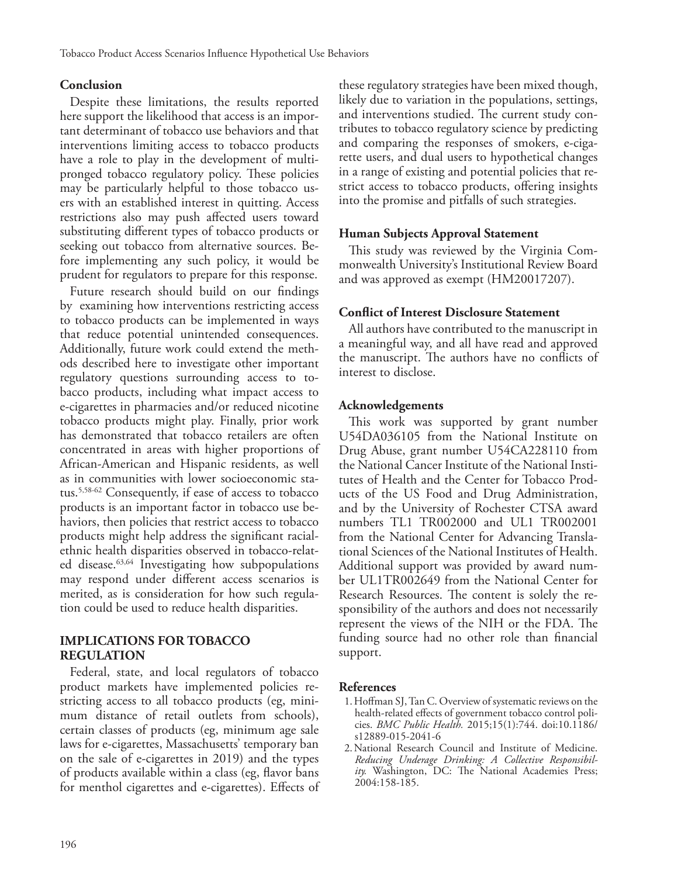#### **Conclusion**

Despite these limitations, the results reported here support the likelihood that access is an important determinant of tobacco use behaviors and that interventions limiting access to tobacco products have a role to play in the development of multipronged tobacco regulatory policy. These policies may be particularly helpful to those tobacco users with an established interest in quitting. Access restrictions also may push affected users toward substituting different types of tobacco products or seeking out tobacco from alternative sources. Before implementing any such policy, it would be prudent for regulators to prepare for this response.

Future research should build on our findings by examining how interventions restricting access to tobacco products can be implemented in ways that reduce potential unintended consequences. Additionally, future work could extend the methods described here to investigate other important regulatory questions surrounding access to tobacco products, including what impact access to e-cigarettes in pharmacies and/or reduced nicotine tobacco products might play. Finally, prior work has demonstrated that tobacco retailers are often concentrated in areas with higher proportions of African-American and Hispanic residents, as well as in communities with lower socioeconomic status.5,58-62 Consequently, if ease of access to tobacco products is an important factor in tobacco use behaviors, then policies that restrict access to tobacco products might help address the significant racialethnic health disparities observed in tobacco-related disease.<sup>63,64</sup> Investigating how subpopulations may respond under different access scenarios is merited, as is consideration for how such regulation could be used to reduce health disparities.

#### **IMPLICATIONS FOR TOBACCO REGULATION**

Federal, state, and local regulators of tobacco product markets have implemented policies restricting access to all tobacco products (eg, minimum distance of retail outlets from schools), certain classes of products (eg, minimum age sale laws for e-cigarettes, Massachusetts' temporary ban on the sale of e-cigarettes in 2019) and the types of products available within a class (eg, flavor bans for menthol cigarettes and e-cigarettes). Effects of these regulatory strategies have been mixed though, likely due to variation in the populations, settings, and interventions studied. The current study contributes to tobacco regulatory science by predicting and comparing the responses of smokers, e-cigarette users, and dual users to hypothetical changes in a range of existing and potential policies that restrict access to tobacco products, offering insights into the promise and pitfalls of such strategies.

#### **Human Subjects Approval Statement**

This study was reviewed by the Virginia Commonwealth University's Institutional Review Board and was approved as exempt (HM20017207).

#### **Conflict of Interest Disclosure Statement**

All authors have contributed to the manuscript in a meaningful way, and all have read and approved the manuscript. The authors have no conflicts of interest to disclose.

#### **Acknowledgements**

This work was supported by grant number U54DA036105 from the National Institute on Drug Abuse, grant number U54CA228110 from the National Cancer Institute of the National Institutes of Health and the Center for Tobacco Products of the US Food and Drug Administration, and by the University of Rochester CTSA award numbers TL1 TR002000 and UL1 TR002001 from the National Center for Advancing Translational Sciences of the National Institutes of Health. Additional support was provided by award number UL1TR002649 from the National Center for Research Resources. The content is solely the responsibility of the authors and does not necessarily represent the views of the NIH or the FDA. The funding source had no other role than financial support.

#### **References**

- 1.Hoffman SJ, Tan C. Overview of systematic reviews on the health-related effects of government tobacco control policies. *BMC Public Health.* 2015;15(1):744. doi:10.1186/ s12889-015-2041-6
- 2.National Research Council and Institute of Medicine. *Reducing Underage Drinking: A Collective Responsibility.* Washington, DC: The National Academies Press; 2004:158-185.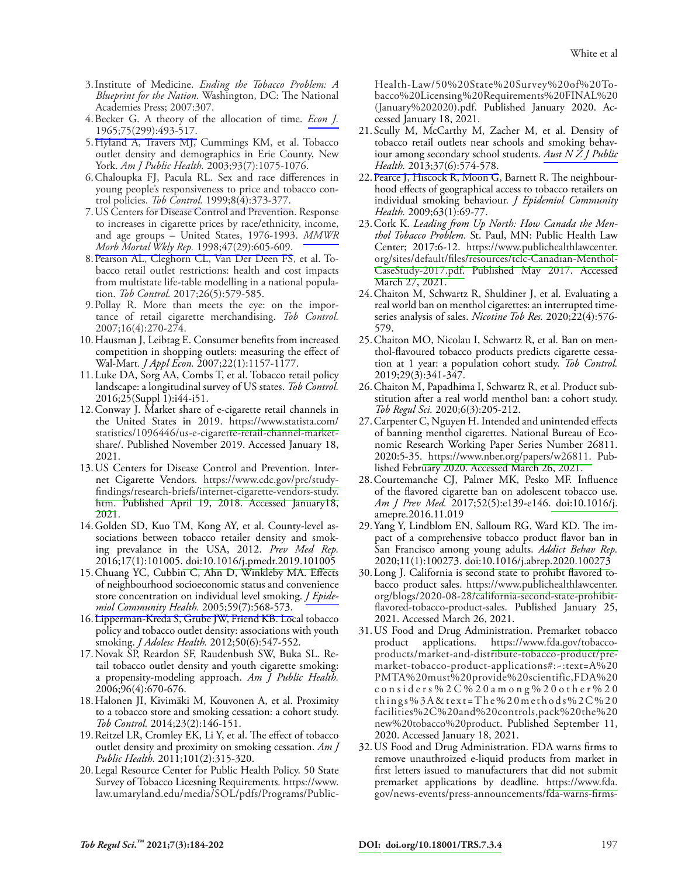- 3.Institute of Medicine. *Ending the Tobacco Problem: A Blueprint for the Nation.* Washington, DC: The National Academies Press; 2007:307.
- 4.Becker G. A theory of the allocation of time. *[Econ J.](http://www.ingentaconnect.com/content/external-references?article=0013-0133(1965)75:299L.493[aid=4968391])* [1965;75\(299\):493-517.](http://www.ingentaconnect.com/content/external-references?article=0013-0133(1965)75:299L.493[aid=4968391])
- 5.Hyland A, Travers MJ, Cummings KM, et al. Tobacco outlet density and demographics in Erie County, New York. *Am J Public Health.* 2003;93(7):1075-1076.
- 6.Chaloupka FJ, Pacula RL. Sex and race differences in young people's responsiveness to price and tobacco control policies. *Tob Control.* [1999;8\(4\):373-377.](http://www.ingentaconnect.com/content/external-references?article=0964-4563(1999)8:4L.373[aid=1585702])
- 7.US Centers for Disease Control and Prevention. Response to increases in cigarette prices by race/ethnicity, income, and age groups – United States, 1976-1993. *[MMWR](http://www.ingentaconnect.com/content/external-references?article=0149-2195(1998)47:29L.605[aid=11382199]) [Morb Mortal Wkly Rep.](http://www.ingentaconnect.com/content/external-references?article=0149-2195(1998)47:29L.605[aid=11382199])* 1998;47(29):605-609.
- 8.Pearson AL, Cleghorn CL, Van Der Deen FS, et al. Tobacco retail outlet restrictions: health and cost impacts from multistate life-table modelling in a national population. *Tob Control.* 2017;26(5):579-585.
- 9.Pollay R. More than meets the eye: on the importance of retail cigarette merchandising. *Tob Control.*  2007;16(4):270-274.
- 10.Hausman J, Leibtag E. Consumer benefits from increased competition in shopping outlets: measuring the effect of Wal-Mart*. J Appl Econ.* 2007;22(1):1157-1177.
- 11.Luke DA, Sorg AA, Combs T, et al. Tobacco retail policy landscape: a longitudinal survey of US states. *Tob Control.*  2016;25(Suppl 1):i44-i51.
- 12.Conway J. Market share of e-cigarette retail channels in the United States in 2019. [https://www.statista.com/](http://www.statista.com/) statistics/1096446/us-e-cigarette-retail-channel-marketshare/. Published November 2019. Accessed January 18, 2021.
- 13.US Centers for Disease Control and Prevention. Internet Cigarette Vendors*.* [https://www.cdc.gov/prc/study](http://www.cdc.gov/prc/study-findings/research-briefs/internet-cigarette-vendors-study.htm)[findings/research-briefs/internet-cigarette-vendors-study.](http://www.cdc.gov/prc/study-findings/research-briefs/internet-cigarette-vendors-study.htm) [htm.](http://www.cdc.gov/prc/study-findings/research-briefs/internet-cigarette-vendors-study.htm) Published April 19, 2018. Accessed January18, 2021.
- 14.Golden SD, Kuo TM, Kong AY, et al. County-level associations between tobacco retailer density and smoking prevalance in the USA, 2012. *Prev Med Rep.* 2016;17(1):101005[. doi:10.1016/j.pmedr.2019.101005](http://dx.doi.org/10.1016/j)
- 15. Chuang YC, Cubbin C, Ahn D, Winkleby MA. Effects of neighbourhood socioeconomic status and convenience store concentration on individual level smoking. *[J Epide](http://www.ingentaconnect.com/content/external-references?article=0143-005x(2005)59:7L.568[aid=9520425])[miol Community Health.](http://www.ingentaconnect.com/content/external-references?article=0143-005x(2005)59:7L.568[aid=9520425])* 2005;59(7):568-573.
- 16.Lipperman-Kreda S, Grube JW, Friend KB. Local tobacco policy and tobacco outlet density: associations with youth smoking. *J Adolesc Health.* 2012;50(6):547-552.
- 17.Novak SP, Reardon SF, Raudenbush SW, Buka SL. Retail tobacco outlet density and youth cigarette smoking: a propensity-modeling approach. *Am J Public Health.*  2006;96(4):670-676.
- 18.Halonen JI, Kivimäki M, Kouvonen A, et al. Proximity to a tobacco store and smoking cessation: a cohort study. *Tob Control.* 2014;23(2):146-151.
- 19.Reitzel LR, Cromley EK, Li Y, et al. The effect of tobacco outlet density and proximity on smoking cessation. *Am J Public Health.* 2011;101(2):315-320.
- 20.Legal Resource Center for Public Health Policy. 50 State Survey of Tobacco Licesning Requirements*.* https://www. law.umaryland.edu/media/SOL/pdfs/Programs/Public-

Health-Law/50%20State%20Survey%20of%20Tobacco%20Licensing%20Requirements%20FINAL%20 (January%202020).pdf. Published January 2020. Accessed January 18, 2021.

- 21. Scully M, McCarthy M, Zacher M, et al. Density of tobacco retail outlets near schools and smoking behaviour among secondary school students. *[Aust N Z J Public](http://www.ingentaconnect.com/content/external-references?article=1326-0200(2013)37:6L.574[aid=11382196])  Health.* [2013;37\(6\):574-578.](http://www.ingentaconnect.com/content/external-references?article=1326-0200(2013)37:6L.574[aid=11382196])
- 22. Pearce J, Hiscock R, Moon G, Barnett R. The neighbourhood effects of geographical access to tobacco retailers on individual smoking behaviour. *J Epidemiol Community Health.* 2009;63(1):69-77.
- 23.Cork K. *Leading from Up North: How Canada the Menthol Tobacco Problem*. St. Paul, MN: Public Health Law Center; 2017:6-12. [https://www.publichealthlawcenter.](http://www.publichealthlawcenter.org/sites/default/files/resources/tclc-Canadian-Menthol-CaseStudy-2017.pdf) [org/sites/default/files/resources/tclc-Canadian-Menthol-](http://www.publichealthlawcenter.org/sites/default/files/resources/tclc-Canadian-Menthol-CaseStudy-2017.pdf)[CaseStudy-2017.pdf.](http://www.publichealthlawcenter.org/sites/default/files/resources/tclc-Canadian-Menthol-CaseStudy-2017.pdf) Published May 2017. Accessed March 27, 2021.
- 24.Chaiton M, Schwartz R, Shuldiner J, et al. Evaluating a real world ban on menthol cigarettes: an interrupted timeseries analysis of sales. *Nicotine Tob Res.* 2020;22(4):576- 579.
- 25.Chaiton MO, Nicolau I, Schwartz R, et al. Ban on menthol-flavoured tobacco products predicts cigarette cessation at 1 year: a population cohort study. *Tob Control.*  2019;29(3):341-347.
- 26.Chaiton M, Papadhima I, Schwartz R, et al. Product substitution after a real world menthol ban: a cohort study. *Tob Regul Sci.* 2020;6(3):205-212.
- 27.Carpenter C, Nguyen H. Intended and unintended effects of banning menthol cigarettes. National Bureau of Economic Research Working Paper Series Number 26811. 2020:5-35. [https://www.nber.org/papers/w26811.](http://www.nber.org/papers/w26811) Published February 2020. Accessed March 26, 2021.
- 28.Courtemanche CJ, Palmer MK, Pesko MF. Influence of the flavored cigarette ban on adolescent tobacco use. *Am J Prev Med.* 2017;52(5):e139-e146. [doi:10.1016/j.](http://dx.doi.org/10.1016/j) amepre.2016.11.019
- 29.Yang Y, Lindblom EN, Salloum RG, Ward KD. The impact of a comprehensive tobacco product flavor ban in San Francisco among young adults. *Addict Behav Rep.*  2020;11(1):100273[. doi:10.1016/j.abrep.2020.100273](http://dx.doi.org/10.1016/j)
- 30.Long J. California is second state to prohibt flavored tobacco product sales. [https://www.publichealthlawcenter.](http://www.publichealthlawcenter) org/blogs/2020-08-28/california-second-state-prohibitflavored-tobacco-product-sales. Published January 25, 2021. Accessed March 26, 2021.
- 31.US Food and Drug Administration. Premarket tobacco product applications. [https://www.fda.gov/tobacco](http://www.fda.gov/tobacco-)products/market-and-distribute-tobacco-product/premarket-tobacco-product-applications#:~:text=A%20 PMTA%20must%20provide%20scientific,FDA%20 considers%2C%20among%20other%20 things%3A&text=The%20methods%2C%20 facilities%2C%20and%20controls,pack%20the%20 new%20tobacco%20product. Published September 11, 2020. Accessed January 18, 2021.
- 32.US Food and Drug Administration. FDA warns firms to remove unauthroized e-liquid products from market in first letters issued to manufacturers that did not submit premarket applications by deadline*.* [https://www.fda.](http://www.fda) gov/news-events/press-announcements/fda-warns-firms-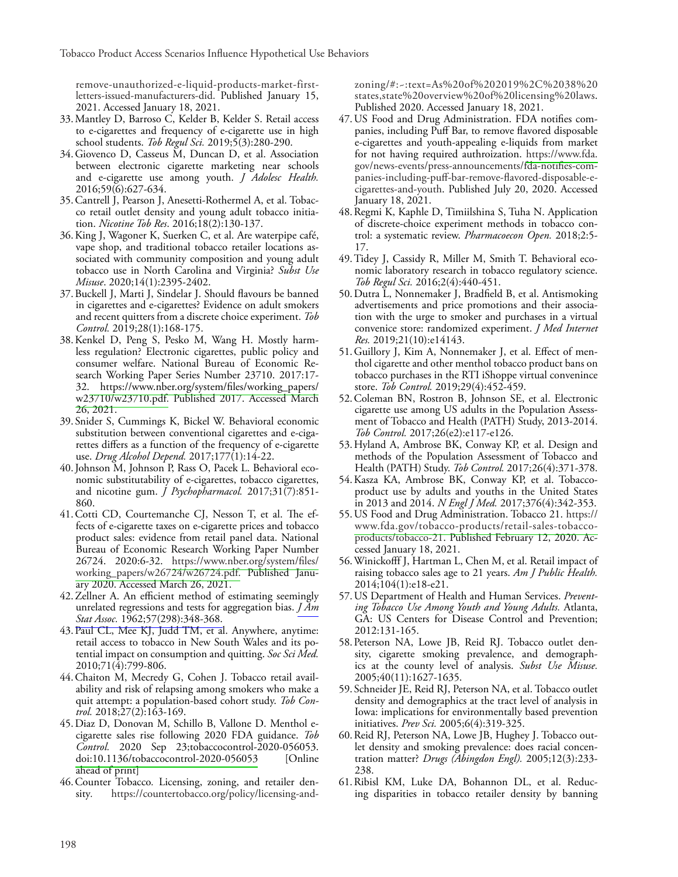remove-unauthorized-e-liquid-products-market-firstletters-issued-manufacturers-did. Published January 15, 2021. Accessed January 18, 2021.

- 33.Mantley D, Barroso C, Kelder B, Kelder S. Retail access to e-cigarettes and frequency of e-cigarette use in high school students. *Tob Regul Sci.* 2019;5(3):280-290.
- 34.Giovenco D, Casseus M, Duncan D, et al. Association between electronic cigarette marketing near schools and e-cigarette use among youth. *J Adolesc Health.*  2016;59(6):627-634.
- 35.Cantrell J, Pearson J, Anesetti-Rothermel A, et al. Tobacco retail outlet density and young adult tobacco initiation. *Nicotine Tob Res*. 2016;18(2):130-137.
- 36.King J, Wagoner K, Suerken C, et al. Are waterpipe café, vape shop, and traditional tobacco retailer locations associated with community composition and young adult tobacco use in North Carolina and Virginia? *Subst Use Misuse*. 2020;14(1):2395-2402.
- 37.Buckell J, Marti J, Sindelar J. Should flavours be banned in cigarettes and e-cigarettes? Evidence on adult smokers and recent quitters from a discrete choice experiment. *Tob Control.* 2019;28(1):168-175.
- 38.Kenkel D, Peng S, Pesko M, Wang H. Mostly harmless regulation? Electronic cigarettes, public policy and consumer welfare. National Bureau of Economic Research Working Paper Series Number 23710. 2017:17- 32. [https://www.nber.org/system/files/working\\_papers/](http://www.nber.org/system/files/working_papers/w23710/w23710.pdf) [w23710/w23710.pdf.](http://www.nber.org/system/files/working_papers/w23710/w23710.pdf) Published 2017. Accessed March 26, 2021.
- 39. Snider S, Cummings K, Bickel W. Behavioral economic substitution between conventional cigarettes and e-cigarettes differs as a function of the frequency of e-cigarette use. *Drug Alcohol Depend.* 2017;177(1):14-22.
- 40.Johnson M, Johnson P, Rass O, Pacek L. Behavioral economic substitutability of e-cigarettes, tobacco cigarettes, and nicotine gum. *J Psychopharmacol.* 2017;31(7):851- 860.
- 41.Cotti CD, Courtemanche CJ, Nesson T, et al. The effects of e-cigarette taxes on e-cigarette prices and tobacco product sales: evidence from retail panel data. National Bureau of Economic Research Working Paper Number 26724. 2020:6-32. [https://www.nber.org/system/files/](http://www.nber.org/system/files/working_papers/w26724/w26724.pdf) [working\\_papers/w26724/w26724.pdf.](http://www.nber.org/system/files/working_papers/w26724/w26724.pdf) Published January 2020. Accessed March 26, 2021.
- 42.Zellner A. An efficient method of estimating seemingly unrelated regressions and tests for aggregation bias. *[J Am](http://www.ingentaconnect.com/content/external-references?article=0162-1459(1962)57:298L.348[aid=3110302])  Stat Assoc.* [1962;57\(298\):348-368.](http://www.ingentaconnect.com/content/external-references?article=0162-1459(1962)57:298L.348[aid=3110302])
- 43.Paul CL, Mee KJ, Judd TM, et al. Anywhere, anytime: retail access to tobacco in New South Wales and its potential impact on consumption and quitting. *Soc Sci Med.*  2010;71(4):799-806.
- 44.Chaiton M, Mecredy G, Cohen J. Tobacco retail availability and risk of relapsing among smokers who make a quit attempt: a population-based cohort study. *Tob Control.* 2018;27(2):163-169.
- 45.Diaz D, Donovan M, Schillo B, Vallone D. Menthol ecigarette sales rise following 2020 FDA guidance. *Tob Control.* 2020 Sep 23;tobaccocontrol-2020-056053. [doi:10.1136/tobaccocontrol-2020-056053](http://dx.doi.org/10.1136/tobaccocontrol) [Online ahead of print]
- 46.Counter Tobacco*.* Licensing, zoning, and retailer density*.* https://countertobacco.org/policy/licensing-and-

zoning/#:~:text=As%20of%202019%2C%2038%20 states,state%20overview%20of%20licensing%20laws. Published 2020. Accessed January 18, 2021.

- 47.US Food and Drug Administration. FDA notifies companies, including Puff Bar, to remove flavored disposable e-cigarettes and youth-appealing e-liquids from market for not having required authroization. [https://www.fda.](http://www.fda) gov/news-events/press-announcements/fda-notifies-companies-including-puff-bar-remove-flavored-disposable-ecigarettes-and-youth. Published July 20, 2020. Accessed January 18, 2021.
- 48.Regmi K, Kaphle D, Timiilshina S, Tuha N. Application of discrete-choice experiment methods in tobacco control: a systematic review. *Pharmacoecon Open.* 2018;2:5- 17.
- 49.Tidey J, Cassidy R, Miller M, Smith T. Behavioral economic laboratory research in tobacco regulatory science. *Tob Regul Sci.* 2016;2(4):440-451.
- 50.Dutra L, Nonnemaker J, Bradfield B, et al. Antismoking advertisements and price promotions and their association with the urge to smoker and purchases in a virtual convenice store: randomized experiment. *J Med Internet Res.* 2019;21(10):e14143.
- 51.Guillory J, Kim A, Nonnemaker J, et al. Effect of menthol cigarette and other menthol tobacco product bans on tobacco purchases in the RTI iShoppe virtual convenince store. *Tob Control.* 2019;29(4):452-459.
- 52.Coleman BN, Rostron B, Johnson SE, et al. Electronic cigarette use among US adults in the Population Assessment of Tobacco and Health (PATH) Study, 2013-2014. *Tob Control.* 2017;26(e2):e117-e126.
- 53.Hyland A, Ambrose BK, Conway KP, et al. Design and methods of the Population Assessment of Tobacco and Health (PATH) Study. *Tob Control.* 2017;26(4):371-378.
- 54.Kasza KA, Ambrose BK, Conway KP, et al. Tobaccoproduct use by adults and youths in the United States in 2013 and 2014. *N Engl J Med.* 2017;376(4):342-353.
- 55.US Food and Drug Administration. Tobacco 21. https:// [www.fda.gov/tobacco-products/retail-sales-tobacco](http://www.fda.gov/tobacco-products/retail-sales-tobacco-)products/tobacco-21. Published February 12, 2020. Accessed January 18, 2021.
- 56.Winickofff J, Hartman L, Chen M, et al. Retail impact of raising tobacco sales age to 21 years. *Am J Public Health.*  2014;104(1):e18-e21.
- 57.US Department of Health and Human Services. *Preventing Tobacco Use Among Youth and Young Adults.* Atlanta, GA: US Centers for Disease Control and Prevention; 2012:131-165.
- 58.Peterson NA, Lowe JB, Reid RJ. Tobacco outlet density, cigarette smoking prevalence, and demographics at the county level of analysis. *Subst Use Misuse.*  2005;40(11):1627-1635.
- 59. Schneider JE, Reid RJ, Peterson NA, et al. Tobacco outlet density and demographics at the tract level of analysis in Iowa: implications for environmentally based prevention initiatives. *Prev Sci.* 2005;6(4):319-325.
- 60.Reid RJ, Peterson NA, Lowe JB, Hughey J. Tobacco outlet density and smoking prevalence: does racial concentration matter? *Drugs (Abingdon Engl).* 2005;12(3):233- 238.
- 61.Ribisl KM, Luke DA, Bohannon DL, et al. Reducing disparities in tobacco retailer density by banning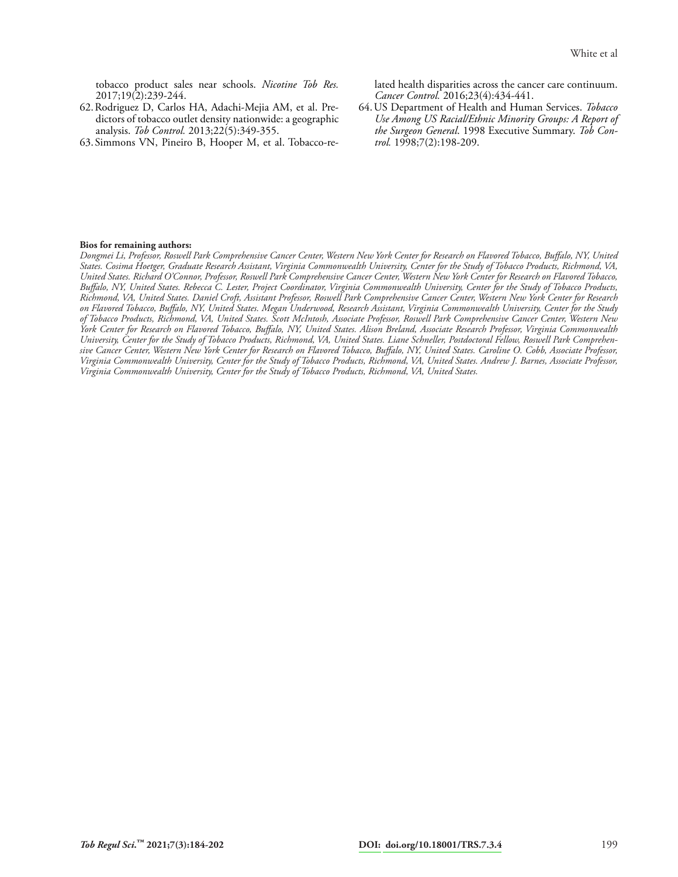tobacco product sales near schools. *Nicotine Tob Res.*  2017;19(2):239-244.

- 62.Rodriguez D, Carlos HA, Adachi-Mejia AM, et al. Predictors of tobacco outlet density nationwide: a geographic analysis. *Tob Control.* 2013;22(5):349-355.
- 63. Simmons VN, Pineiro B, Hooper M, et al. Tobacco-re-

lated health disparities across the cancer care continuum. *Cancer Control.* 2016;23(4):434-441.

64.US Department of Health and Human Services. *Tobacco Use Among US Racial/Ethnic Minority Groups: A Report of the Surgeon General*. 1998 Executive Summary. *Tob Control.* 1998;7(2):198-209.

#### **Bios for remaining authors:**

*Dongmei Li, Professor, Roswell Park Comprehensive Cancer Center, Western New York Center for Research on Flavored Tobacco, Buffalo, NY, United States. Cosima Hoetger, Graduate Research Assistant, Virginia Commonwealth University, Center for the Study of Tobacco Products, Richmond, VA, United States. Richard O'Connor, Professor, Roswell Park Comprehensive Cancer Center, Western New York Center for Research on Flavored Tobacco, Buffalo, NY, United States. Rebecca C. Lester, Project Coordinator, Virginia Commonwealth University, Center for the Study of Tobacco Products, Richmond, VA, United States. Daniel Croft, Assistant Professor, Roswell Park Comprehensive Cancer Center, Western New York Center for Research on Flavored Tobacco, Buffalo, NY, United States. Megan Underwood, Research Assistant, Virginia Commonwealth University, Center for the Study of Tobacco Products, Richmond, VA, United States. Scott McIntosh, Associate Professor, Roswell Park Comprehensive Cancer Center, Western New York Center for Research on Flavored Tobacco, Buffalo, NY, United States. Alison Breland, Associate Research Professor, Virginia Commonwealth University, Center for the Study of Tobacco Products, Richmond, VA, United States. Liane Schneller, Postdoctoral Fellow, Roswell Park Comprehensive Cancer Center, Western New York Center for Research on Flavored Tobacco, Buffalo, NY, United States. Caroline O. Cobb, Associate Professor, Virginia Commonwealth University, Center for the Study of Tobacco Products, Richmond, VA, United States. Andrew J. Barnes, Associate Professor, Virginia Commonwealth University, Center for the Study of Tobacco Products, Richmond, VA, United States.*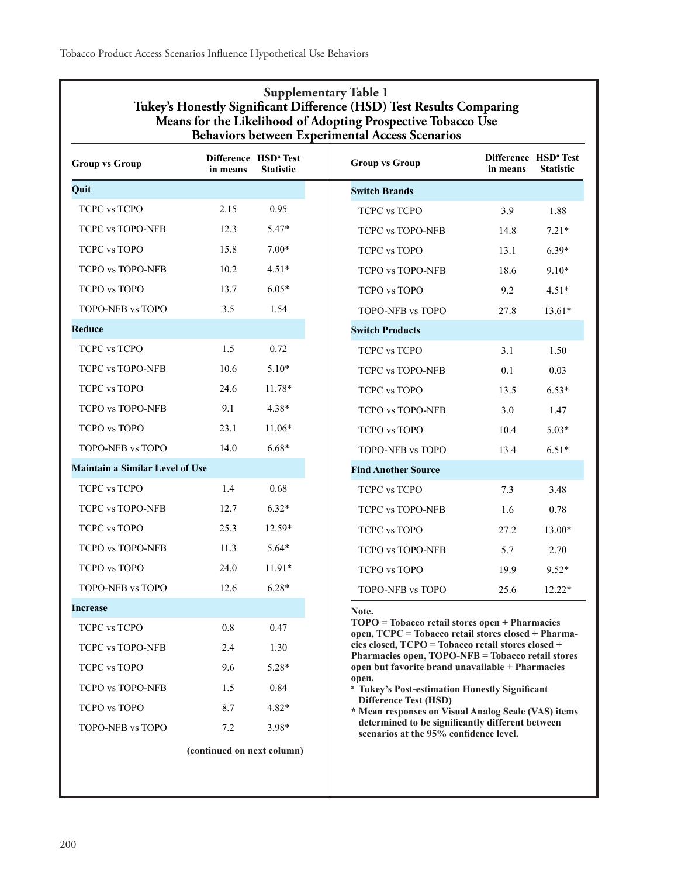|                                        | Tukey's Honestly Significant Difference (HSD) Test Results Comparing<br>Means for the Likelihood of Adopting Prospective Tobacco Use<br>Behaviors between Experimental Access Scenarios | <b>Supplementary Table 1</b>                         |
|----------------------------------------|-----------------------------------------------------------------------------------------------------------------------------------------------------------------------------------------|------------------------------------------------------|
| <b>Group vs Group</b>                  | in means                                                                                                                                                                                | Difference HSD <sup>a</sup> Test<br><b>Statistic</b> |
| Quit                                   |                                                                                                                                                                                         |                                                      |
| <b>TCPC vs TCPO</b>                    | 2.15                                                                                                                                                                                    | 0.95                                                 |
| <b>TCPC vs TOPO-NFB</b>                | 12.3                                                                                                                                                                                    | 5.47*                                                |
| <b>TCPC vs TOPO</b>                    | 15.8                                                                                                                                                                                    | $7.00*$                                              |
| <b>TCPO vs TOPO-NFB</b>                | 10.2                                                                                                                                                                                    | $4.51*$                                              |
| <b>TCPO</b> vs TOPO                    | 13.7                                                                                                                                                                                    | $6.05*$                                              |
| TOPO-NFB vs TOPO                       | 3.5                                                                                                                                                                                     | 1.54                                                 |
| Reduce                                 |                                                                                                                                                                                         |                                                      |
| <b>TCPC vs TCPO</b>                    | 1.5                                                                                                                                                                                     | 0.72                                                 |
| <b>TCPC vs TOPO-NFB</b>                | 10.6                                                                                                                                                                                    | $5.10*$                                              |
| <b>TCPC vs TOPO</b>                    | 24.6                                                                                                                                                                                    | 11.78*                                               |
| <b>TCPO vs TOPO-NFB</b>                | 9.1                                                                                                                                                                                     | $4.38*$                                              |
| <b>TCPO</b> vs TOPO                    | 23.1                                                                                                                                                                                    | $11.06*$                                             |
| TOPO-NFB vs TOPO                       | 14.0                                                                                                                                                                                    | $6.68*$                                              |
| <b>Maintain a Similar Level of Use</b> |                                                                                                                                                                                         |                                                      |
| <b>TCPC vs TCPO</b>                    | 1.4                                                                                                                                                                                     | 0.68                                                 |
| <b>TCPC vs TOPO-NFB</b>                | 12.7                                                                                                                                                                                    | $6.32*$                                              |
| <b>TCPC vs TOPO</b>                    | 25.3                                                                                                                                                                                    | 12.59*                                               |
| <b>TCPO vs TOPO-NFB</b>                | 11.3                                                                                                                                                                                    | $5.64*$                                              |
| <b>TCPO</b> vs TOPO                    | 24.0                                                                                                                                                                                    | $11.91*$                                             |
| TOPO-NFB vs TOPO                       | 12.6                                                                                                                                                                                    | $6.28*$                                              |
| Increase                               |                                                                                                                                                                                         |                                                      |
| TCPC vs TCPO                           | 0.8                                                                                                                                                                                     | 0.47                                                 |
| <b>TCPC vs TOPO-NFB</b>                | 2.4                                                                                                                                                                                     | 1.30                                                 |
| <b>TCPC vs TOPO</b>                    | 9.6                                                                                                                                                                                     | $5.28*$                                              |
| <b>TCPO vs TOPO-NFB</b>                | 1.5                                                                                                                                                                                     | 0.84                                                 |
| <b>TCPO</b> vs TOPO                    | 8.7                                                                                                                                                                                     | 4.82*                                                |
| TOPO-NFB vs TOPO                       | 7.2                                                                                                                                                                                     | 3.98*                                                |
|                                        | (continued on next column)                                                                                                                                                              |                                                      |
|                                        |                                                                                                                                                                                         |                                                      |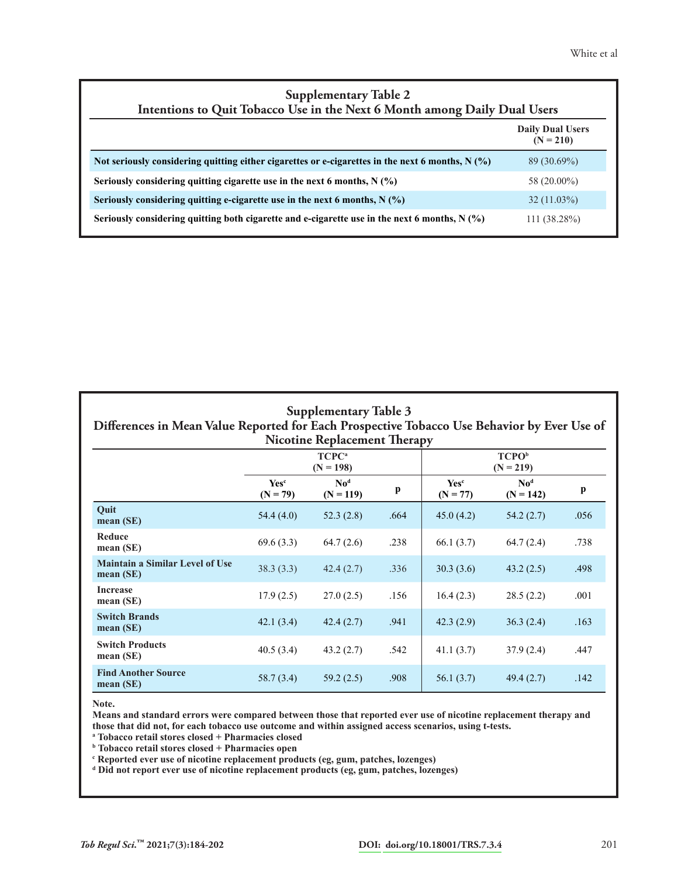| <b>Supplementary Table 2</b><br>Intentions to Quit Tobacco Use in the Next 6 Month among Daily Dual Users |                                        |  |  |  |  |  |
|-----------------------------------------------------------------------------------------------------------|----------------------------------------|--|--|--|--|--|
|                                                                                                           | <b>Daily Dual Users</b><br>$(N = 210)$ |  |  |  |  |  |
| Not seriously considering quitting either cigarettes or e-cigarettes in the next 6 months, $N(\%)$        | $89(30.69\%)$                          |  |  |  |  |  |
| Seriously considering quitting cigarette use in the next 6 months, $N(\%)$                                | 58 (20.00%)                            |  |  |  |  |  |
| Seriously considering quitting e-cigarette use in the next 6 months, $N(\%)$                              | $32(11.03\%)$                          |  |  |  |  |  |
| Seriously considering quitting both cigarette and e-cigarette use in the next 6 months, $N(\%)$           | 111 (38.28%)                           |  |  |  |  |  |

| <b>Supplementary Table 3</b><br>Differences in Mean Value Reported for Each Prospective Tobacco Use Behavior by Ever Use of<br><b>Nicotine Replacement Therapy</b> |                                       |                                                    |      |                                |                                                    |      |  |  |  |
|--------------------------------------------------------------------------------------------------------------------------------------------------------------------|---------------------------------------|----------------------------------------------------|------|--------------------------------|----------------------------------------------------|------|--|--|--|
|                                                                                                                                                                    |                                       | TCPC <sup>a</sup><br>$(N = 198)$                   |      |                                | <b>TCPO</b> <sup>b</sup><br>$(N = 219)$            |      |  |  |  |
|                                                                                                                                                                    | <b>Yes</b> <sup>c</sup><br>$(N = 79)$ | $\mathbf{N}\mathbf{o}^{\mathbf{d}}$<br>$(N = 119)$ | p    | Yes <sup>c</sup><br>$(N = 77)$ | $\mathbf{N}\mathbf{o}^{\mathbf{d}}$<br>$(N = 142)$ | p    |  |  |  |
| Quit<br>mean(SE)                                                                                                                                                   | 54.4(4.0)                             | 52.3(2.8)                                          | .664 | 45.0(4.2)                      | 54.2(2.7)                                          | .056 |  |  |  |
| Reduce<br>mean(SE)                                                                                                                                                 | 69.6(3.3)                             | 64.7(2.6)                                          | .238 | 66.1(3.7)                      | 64.7(2.4)                                          | .738 |  |  |  |
| <b>Maintain a Similar Level of Use</b><br>mean(SE)                                                                                                                 | 38.3(3.3)                             | 42.4(2.7)                                          | .336 | 30.3(3.6)                      | 43.2(2.5)                                          | .498 |  |  |  |
| <b>Increase</b><br>mean $(SE)$                                                                                                                                     | 17.9(2.5)                             | 27.0(2.5)                                          | .156 | 16.4(2.3)                      | 28.5(2.2)                                          | .001 |  |  |  |
| <b>Switch Brands</b><br>mean(SE)                                                                                                                                   | 42.1(3.4)                             | 42.4(2.7)                                          | .941 | 42.3(2.9)                      | 36.3(2.4)                                          | .163 |  |  |  |
| <b>Switch Products</b><br>mean(SE)                                                                                                                                 | 40.5(3.4)                             | 43.2(2.7)                                          | .542 | 41.1(3.7)                      | 37.9(2.4)                                          | .447 |  |  |  |
| <b>Find Another Source</b><br>mean(SE)                                                                                                                             | 58.7(3.4)                             | 59.2(2.5)                                          | .908 | 56.1(3.7)                      | 49.4(2.7)                                          | .142 |  |  |  |

**Note.**

**Means and standard errors were compared between those that reported ever use of nicotine replacement therapy and those that did not, for each tobacco use outcome and within assigned access scenarios, using t-tests.**

**a Tobacco retail stores closed + Pharmacies closed**

**b Tobacco retail stores closed + Pharmacies open**

**c Reported ever use of nicotine replacement products (eg, gum, patches, lozenges) d Did not report ever use of nicotine replacement products (eg, gum, patches, lozenges)**